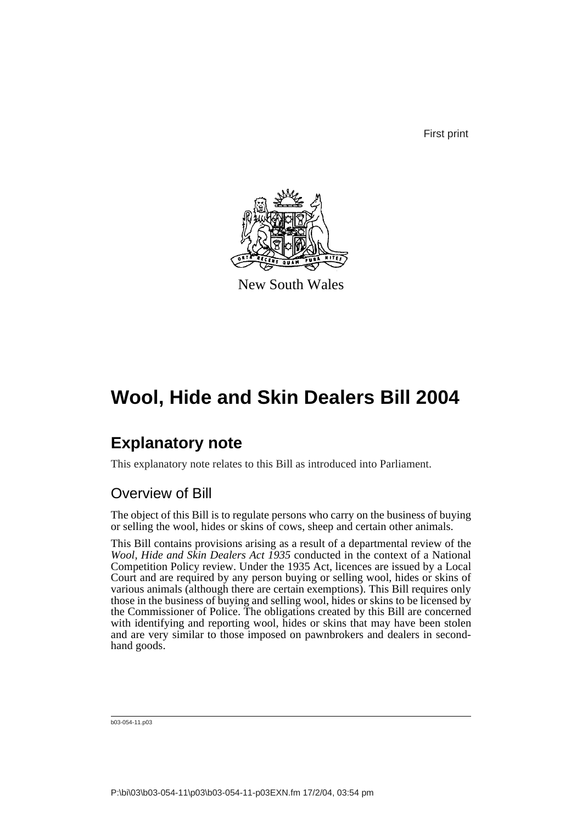First print



New South Wales

# **Wool, Hide and Skin Dealers Bill 2004**

# **Explanatory note**

This explanatory note relates to this Bill as introduced into Parliament.

# Overview of Bill

The object of this Bill is to regulate persons who carry on the business of buying or selling the wool, hides or skins of cows, sheep and certain other animals.

This Bill contains provisions arising as a result of a departmental review of the *Wool, Hide and Skin Dealers Act 1935* conducted in the context of a National Competition Policy review. Under the 1935 Act, licences are issued by a Local Court and are required by any person buying or selling wool, hides or skins of various animals (although there are certain exemptions). This Bill requires only those in the business of buying and selling wool, hides or skins to be licensed by the Commissioner of Police. The obligations created by this Bill are concerned with identifying and reporting wool, hides or skins that may have been stolen and are very similar to those imposed on pawnbrokers and dealers in secondhand goods.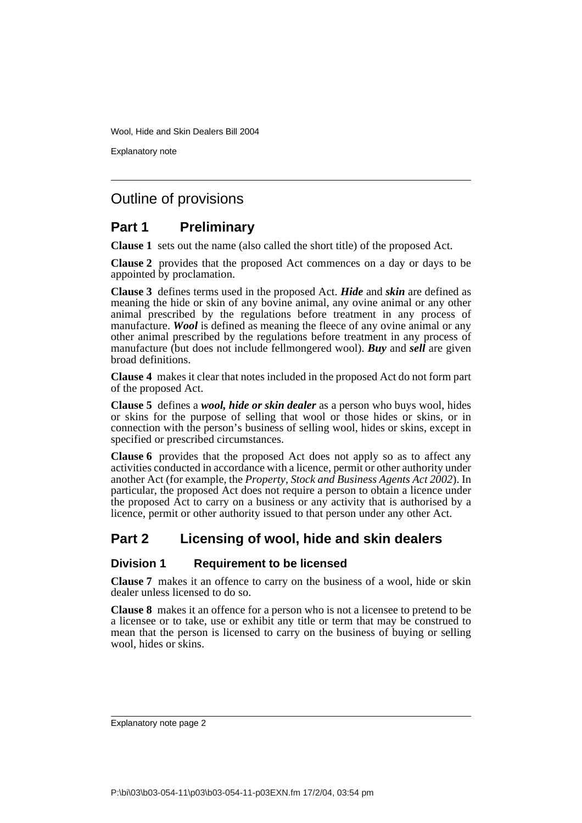Explanatory note

# Outline of provisions

## **Part 1 Preliminary**

**Clause 1** sets out the name (also called the short title) of the proposed Act.

**Clause 2** provides that the proposed Act commences on a day or days to be appointed by proclamation.

**Clause 3** defines terms used in the proposed Act. *Hide* and *skin* are defined as meaning the hide or skin of any bovine animal, any ovine animal or any other animal prescribed by the regulations before treatment in any process of manufacture. *Wool* is defined as meaning the fleece of any ovine animal or any other animal prescribed by the regulations before treatment in any process of manufacture (but does not include fellmongered wool). *Buy* and *sell* are given broad definitions.

**Clause 4** makes it clear that notes included in the proposed Act do not form part of the proposed Act.

**Clause 5** defines a *wool, hide or skin dealer* as a person who buys wool, hides or skins for the purpose of selling that wool or those hides or skins, or in connection with the person's business of selling wool, hides or skins, except in specified or prescribed circumstances.

**Clause 6** provides that the proposed Act does not apply so as to affect any activities conducted in accordance with a licence, permit or other authority under another Act (for example, the *Property, Stock and Business Agents Act 2002*). In particular, the proposed Act does not require a person to obtain a licence under the proposed Act to carry on a business or any activity that is authorised by a licence, permit or other authority issued to that person under any other Act.

# **Part 2 Licensing of wool, hide and skin dealers**

## **Division 1 Requirement to be licensed**

**Clause 7** makes it an offence to carry on the business of a wool, hide or skin dealer unless licensed to do so.

**Clause 8** makes it an offence for a person who is not a licensee to pretend to be a licensee or to take, use or exhibit any title or term that may be construed to mean that the person is licensed to carry on the business of buying or selling wool, hides or skins.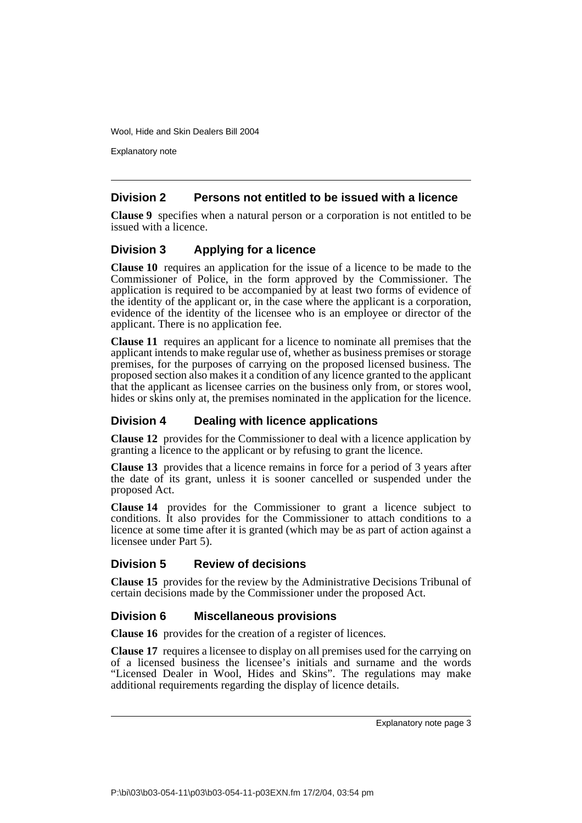Explanatory note

## **Division 2 Persons not entitled to be issued with a licence**

**Clause 9** specifies when a natural person or a corporation is not entitled to be issued with a licence.

## **Division 3 Applying for a licence**

**Clause 10** requires an application for the issue of a licence to be made to the Commissioner of Police, in the form approved by the Commissioner. The application is required to be accompanied by at least two forms of evidence of the identity of the applicant or, in the case where the applicant is a corporation, evidence of the identity of the licensee who is an employee or director of the applicant. There is no application fee.

**Clause 11** requires an applicant for a licence to nominate all premises that the applicant intends to make regular use of, whether as business premises or storage premises, for the purposes of carrying on the proposed licensed business. The proposed section also makes it a condition of any licence granted to the applicant that the applicant as licensee carries on the business only from, or stores wool, hides or skins only at, the premises nominated in the application for the licence.

## **Division 4 Dealing with licence applications**

**Clause 12** provides for the Commissioner to deal with a licence application by granting a licence to the applicant or by refusing to grant the licence.

**Clause 13** provides that a licence remains in force for a period of 3 years after the date of its grant, unless it is sooner cancelled or suspended under the proposed Act.

**Clause 14** provides for the Commissioner to grant a licence subject to conditions. It also provides for the Commissioner to attach conditions to a licence at some time after it is granted (which may be as part of action against a licensee under Part 5).

## **Division 5 Review of decisions**

**Clause 15** provides for the review by the Administrative Decisions Tribunal of certain decisions made by the Commissioner under the proposed Act.

## **Division 6 Miscellaneous provisions**

**Clause 16** provides for the creation of a register of licences.

**Clause 17** requires a licensee to display on all premises used for the carrying on of a licensed business the licensee's initials and surname and the words "Licensed Dealer in Wool, Hides and Skins". The regulations may make additional requirements regarding the display of licence details.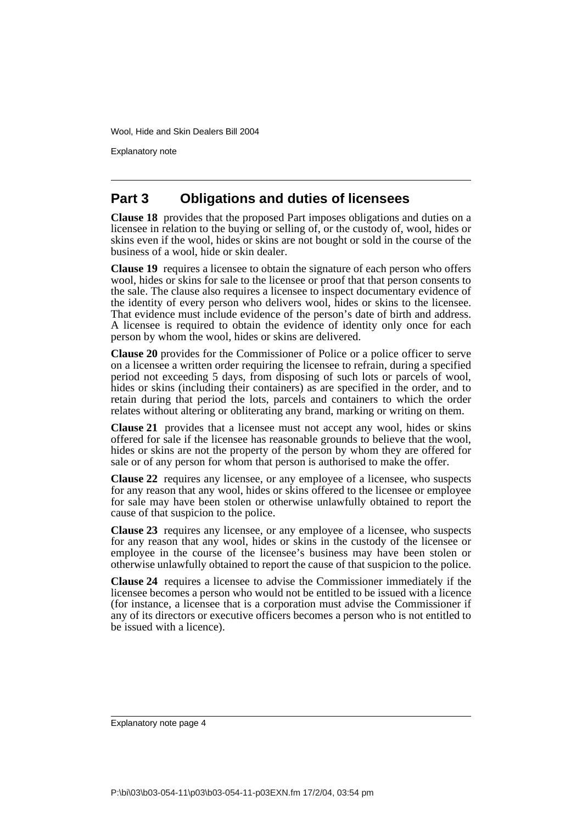Explanatory note

## **Part 3 Obligations and duties of licensees**

**Clause 18** provides that the proposed Part imposes obligations and duties on a licensee in relation to the buying or selling of, or the custody of, wool, hides or skins even if the wool, hides or skins are not bought or sold in the course of the business of a wool, hide or skin dealer.

**Clause 19** requires a licensee to obtain the signature of each person who offers wool, hides or skins for sale to the licensee or proof that that person consents to the sale. The clause also requires a licensee to inspect documentary evidence of the identity of every person who delivers wool, hides or skins to the licensee. That evidence must include evidence of the person's date of birth and address. A licensee is required to obtain the evidence of identity only once for each person by whom the wool, hides or skins are delivered.

**Clause 20** provides for the Commissioner of Police or a police officer to serve on a licensee a written order requiring the licensee to refrain, during a specified period not exceeding 5 days, from disposing of such lots or parcels of wool, hides or skins (including their containers) as are specified in the order, and to retain during that period the lots, parcels and containers to which the order relates without altering or obliterating any brand, marking or writing on them.

**Clause 21** provides that a licensee must not accept any wool, hides or skins offered for sale if the licensee has reasonable grounds to believe that the wool, hides or skins are not the property of the person by whom they are offered for sale or of any person for whom that person is authorised to make the offer.

**Clause 22** requires any licensee, or any employee of a licensee, who suspects for any reason that any wool, hides or skins offered to the licensee or employee for sale may have been stolen or otherwise unlawfully obtained to report the cause of that suspicion to the police.

**Clause 23** requires any licensee, or any employee of a licensee, who suspects for any reason that any wool, hides or skins in the custody of the licensee or employee in the course of the licensee's business may have been stolen or otherwise unlawfully obtained to report the cause of that suspicion to the police.

**Clause 24** requires a licensee to advise the Commissioner immediately if the licensee becomes a person who would not be entitled to be issued with a licence (for instance, a licensee that is a corporation must advise the Commissioner if any of its directors or executive officers becomes a person who is not entitled to be issued with a licence).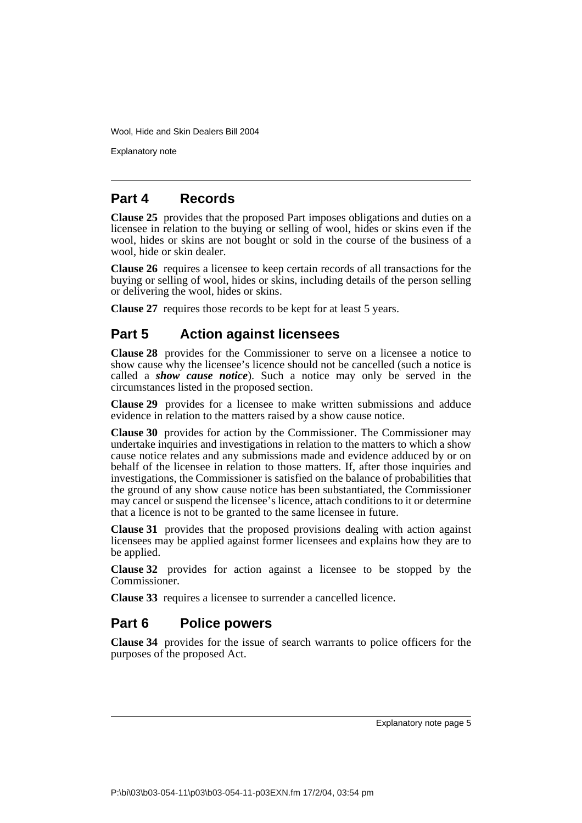Explanatory note

## **Part 4 Records**

**Clause 25** provides that the proposed Part imposes obligations and duties on a licensee in relation to the buying or selling of wool, hides or skins even if the wool, hides or skins are not bought or sold in the course of the business of a wool, hide or skin dealer.

**Clause 26** requires a licensee to keep certain records of all transactions for the buying or selling of wool, hides or skins, including details of the person selling or delivering the wool, hides or skins.

**Clause 27** requires those records to be kept for at least 5 years.

## **Part 5 Action against licensees**

**Clause 28** provides for the Commissioner to serve on a licensee a notice to show cause why the licensee's licence should not be cancelled (such a notice is called a *show cause notice*). Such a notice may only be served in the circumstances listed in the proposed section.

**Clause 29** provides for a licensee to make written submissions and adduce evidence in relation to the matters raised by a show cause notice.

**Clause 30** provides for action by the Commissioner. The Commissioner may undertake inquiries and investigations in relation to the matters to which a show cause notice relates and any submissions made and evidence adduced by or on behalf of the licensee in relation to those matters. If, after those inquiries and investigations, the Commissioner is satisfied on the balance of probabilities that the ground of any show cause notice has been substantiated, the Commissioner may cancel or suspend the licensee's licence, attach conditions to it or determine that a licence is not to be granted to the same licensee in future.

**Clause 31** provides that the proposed provisions dealing with action against licensees may be applied against former licensees and explains how they are to be applied.

**Clause 32** provides for action against a licensee to be stopped by the Commissioner.

**Clause 33** requires a licensee to surrender a cancelled licence.

## **Part 6 Police powers**

**Clause 34** provides for the issue of search warrants to police officers for the purposes of the proposed Act.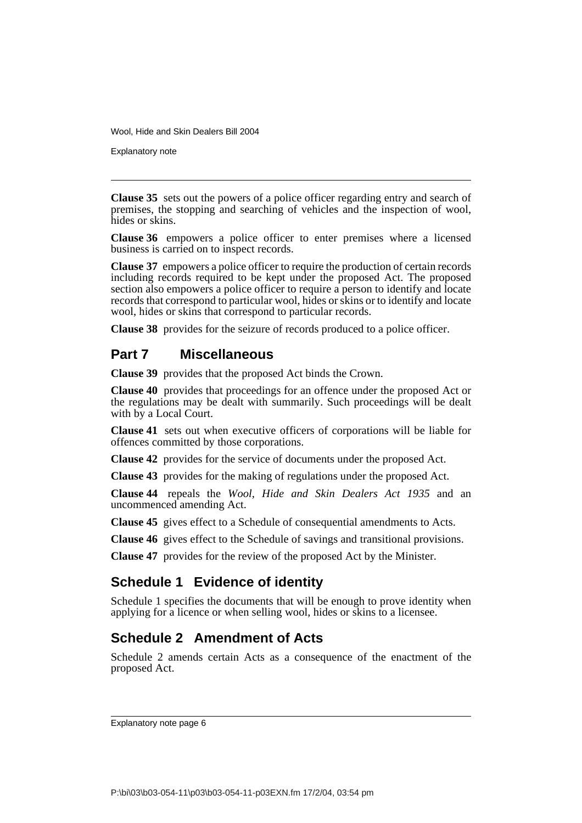Explanatory note

**Clause 35** sets out the powers of a police officer regarding entry and search of premises, the stopping and searching of vehicles and the inspection of wool, hides or skins.

**Clause 36** empowers a police officer to enter premises where a licensed business is carried on to inspect records.

**Clause 37** empowers a police officer to require the production of certain records including records required to be kept under the proposed Act. The proposed section also empowers a police officer to require a person to identify and locate records that correspond to particular wool, hides or skins or to identify and locate wool, hides or skins that correspond to particular records.

**Clause 38** provides for the seizure of records produced to a police officer.

## **Part 7 Miscellaneous**

**Clause 39** provides that the proposed Act binds the Crown.

**Clause 40** provides that proceedings for an offence under the proposed Act or the regulations may be dealt with summarily. Such proceedings will be dealt with by a Local Court.

**Clause 41** sets out when executive officers of corporations will be liable for offences committed by those corporations.

**Clause 42** provides for the service of documents under the proposed Act.

**Clause 43** provides for the making of regulations under the proposed Act.

**Clause 44** repeals the *Wool, Hide and Skin Dealers Act 1935* and an uncommenced amending Act.

**Clause 45** gives effect to a Schedule of consequential amendments to Acts.

**Clause 46** gives effect to the Schedule of savings and transitional provisions.

**Clause 47** provides for the review of the proposed Act by the Minister.

## **Schedule 1 Evidence of identity**

Schedule 1 specifies the documents that will be enough to prove identity when applying for a licence or when selling wool, hides or skins to a licensee.

# **Schedule 2 Amendment of Acts**

Schedule 2 amends certain Acts as a consequence of the enactment of the proposed Act.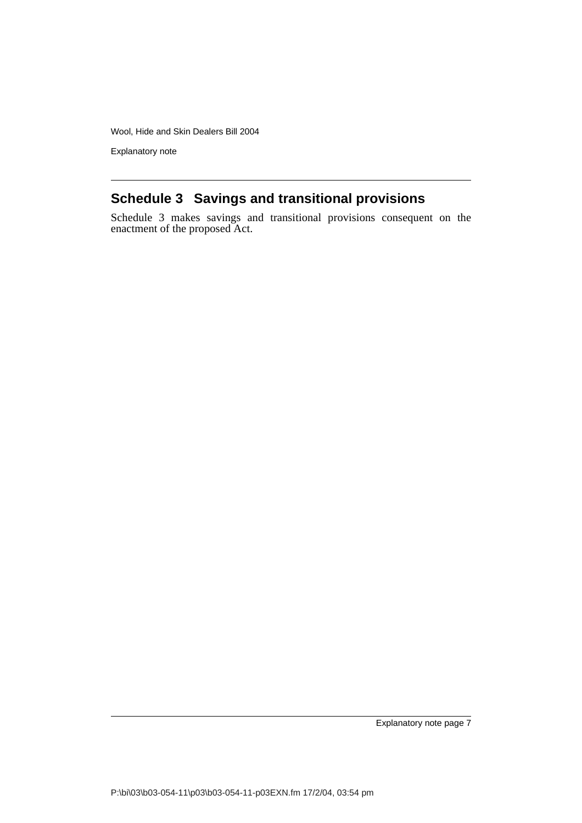Explanatory note

# **Schedule 3 Savings and transitional provisions**

Schedule 3 makes savings and transitional provisions consequent on the enactment of the proposed Act.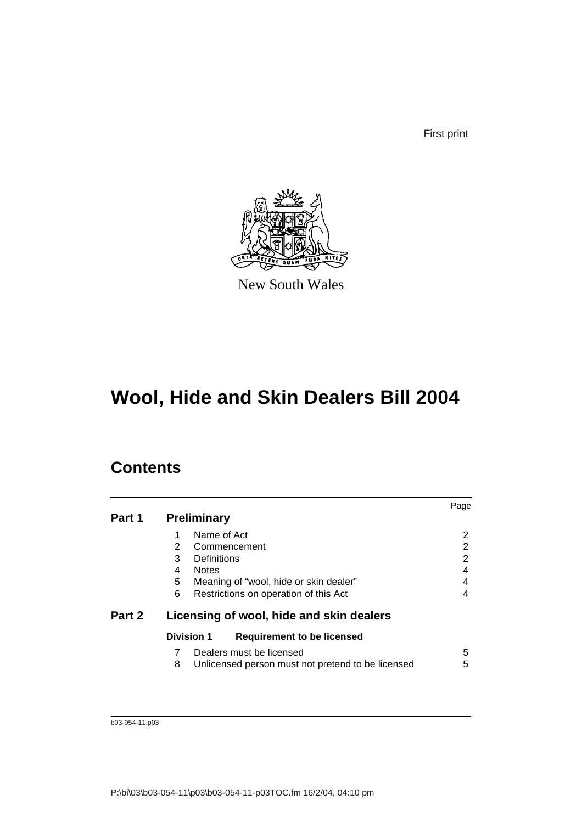First print



New South Wales

# **Wool, Hide and Skin Dealers Bill 2004**

# **Contents**

|        |                                                        | Page |
|--------|--------------------------------------------------------|------|
| Part 1 | <b>Preliminary</b>                                     |      |
|        | Name of Act                                            | 2    |
|        | 2<br>Commencement                                      | 2    |
|        | 3<br><b>Definitions</b>                                | 2    |
|        | <b>Notes</b><br>4                                      | 4    |
|        | 5<br>Meaning of "wool, hide or skin dealer"            | 4    |
|        | 6<br>Restrictions on operation of this Act             | 4    |
| Part 2 | Licensing of wool, hide and skin dealers               |      |
|        | <b>Division 1</b><br><b>Requirement to be licensed</b> |      |
|        | Dealers must be licensed<br>7                          | 5    |
|        | 8<br>Unlicensed person must not pretend to be licensed | 5    |
|        |                                                        |      |
|        |                                                        |      |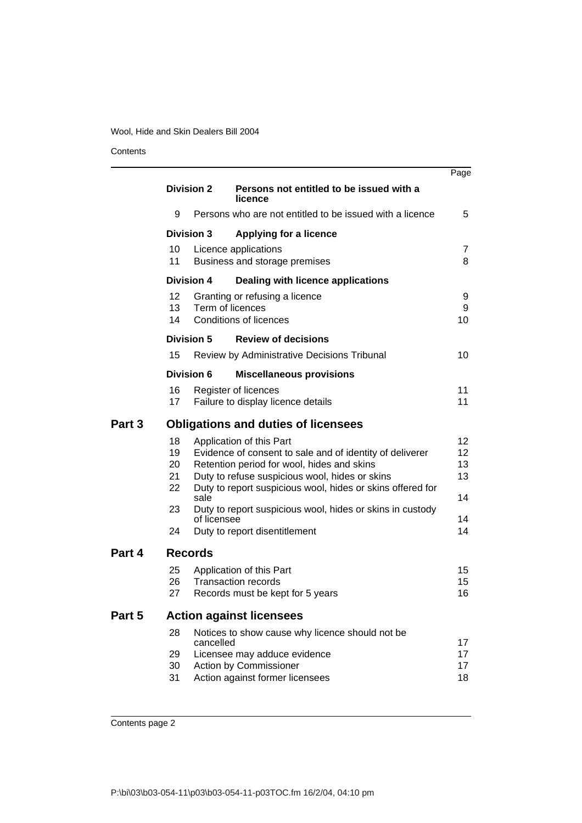**Contents** 

 $\overline{a}$ 

|        |                            |                   |                                                                                                                                                                                                                                                    | Page                       |
|--------|----------------------------|-------------------|----------------------------------------------------------------------------------------------------------------------------------------------------------------------------------------------------------------------------------------------------|----------------------------|
|        |                            | <b>Division 2</b> | Persons not entitled to be issued with a<br>licence                                                                                                                                                                                                |                            |
|        | 9                          |                   | Persons who are not entitled to be issued with a licence                                                                                                                                                                                           | 5                          |
|        |                            | <b>Division 3</b> | <b>Applying for a licence</b>                                                                                                                                                                                                                      |                            |
|        | 10<br>11                   |                   | Licence applications<br>Business and storage premises                                                                                                                                                                                              | 7<br>8                     |
|        |                            | <b>Division 4</b> | Dealing with licence applications                                                                                                                                                                                                                  |                            |
|        | 12<br>13<br>14             | Term of licences  | Granting or refusing a licence<br><b>Conditions of licences</b>                                                                                                                                                                                    | 9<br>9<br>10               |
|        |                            | <b>Division 5</b> | <b>Review of decisions</b>                                                                                                                                                                                                                         |                            |
|        | 15                         |                   | Review by Administrative Decisions Tribunal                                                                                                                                                                                                        | 10                         |
|        |                            | <b>Division 6</b> | <b>Miscellaneous provisions</b>                                                                                                                                                                                                                    |                            |
|        | 16<br>17                   |                   | Register of licences<br>Failure to display licence details                                                                                                                                                                                         | 11<br>11                   |
| Part 3 |                            |                   | <b>Obligations and duties of licensees</b>                                                                                                                                                                                                         |                            |
|        | 18<br>19<br>20<br>21<br>22 | sale              | Application of this Part<br>Evidence of consent to sale and of identity of deliverer<br>Retention period for wool, hides and skins<br>Duty to refuse suspicious wool, hides or skins<br>Duty to report suspicious wool, hides or skins offered for | 12<br>12<br>13<br>13<br>14 |
|        | 23                         | of licensee       | Duty to report suspicious wool, hides or skins in custody                                                                                                                                                                                          | 14                         |
|        | 24                         |                   | Duty to report disentitlement                                                                                                                                                                                                                      | 14                         |
| Part 4 |                            | <b>Records</b>    |                                                                                                                                                                                                                                                    |                            |
|        | 25<br>26<br>27             |                   | Application of this Part<br><b>Transaction records</b><br>Records must be kept for 5 years                                                                                                                                                         | 15<br>15<br>16             |
| Part 5 |                            |                   | <b>Action against licensees</b>                                                                                                                                                                                                                    |                            |
|        | 28                         | cancelled         | Notices to show cause why licence should not be                                                                                                                                                                                                    | 17                         |
|        | 29<br>30<br>31             |                   | Licensee may adduce evidence<br>Action by Commissioner<br>Action against former licensees                                                                                                                                                          | 17<br>17<br>18             |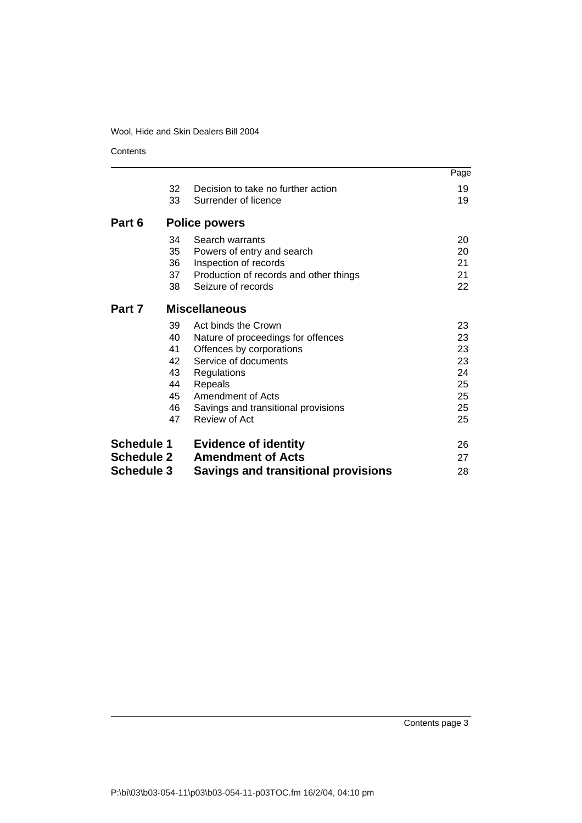**Contents** 

|                   |    |                                        | Page |
|-------------------|----|----------------------------------------|------|
|                   | 32 | Decision to take no further action     | 19   |
|                   | 33 | Surrender of licence                   | 19   |
| Part 6            |    | <b>Police powers</b>                   |      |
|                   | 34 | Search warrants                        | 20   |
|                   | 35 | Powers of entry and search             | 20   |
|                   | 36 | Inspection of records                  | 21   |
|                   | 37 | Production of records and other things | 21   |
|                   | 38 | Seizure of records                     | 22   |
| Part 7            |    | <b>Miscellaneous</b>                   |      |
|                   | 39 | Act binds the Crown                    | 23   |
|                   | 40 | Nature of proceedings for offences     | 23   |
|                   | 41 | Offences by corporations               | 23   |
|                   | 42 | Service of documents                   | 23   |
|                   | 43 | Regulations                            | 24   |
|                   | 44 | Repeals                                | 25   |
|                   | 45 | Amendment of Acts                      | 25   |
|                   | 46 | Savings and transitional provisions    | 25   |
|                   | 47 | Review of Act                          | 25   |
| <b>Schedule 1</b> |    | <b>Evidence of identity</b>            | 26   |
| <b>Schedule 2</b> |    | <b>Amendment of Acts</b>               | 27   |
| <b>Schedule 3</b> |    |                                        |      |
|                   |    | Savings and transitional provisions    | 28   |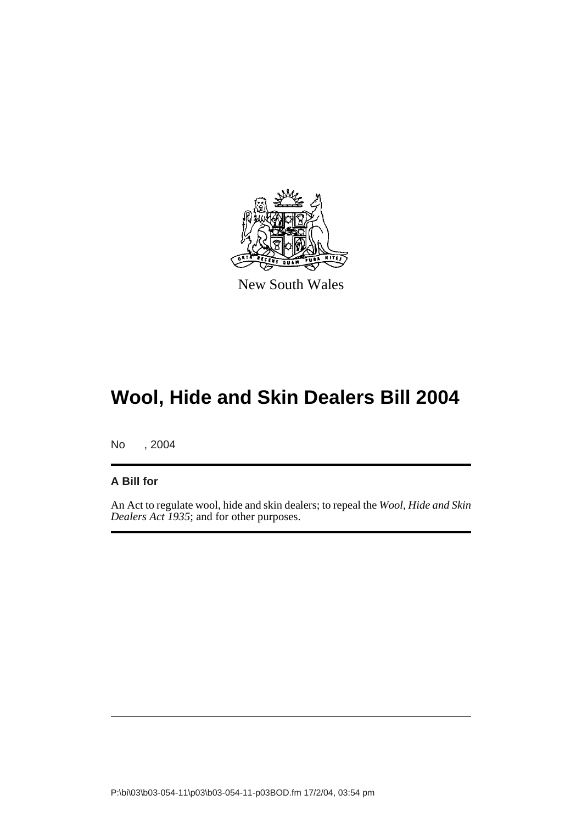

New South Wales

No , 2004

## **A Bill for**

An Act to regulate wool, hide and skin dealers; to repeal the *Wool, Hide and Skin Dealers Act 1935*; and for other purposes.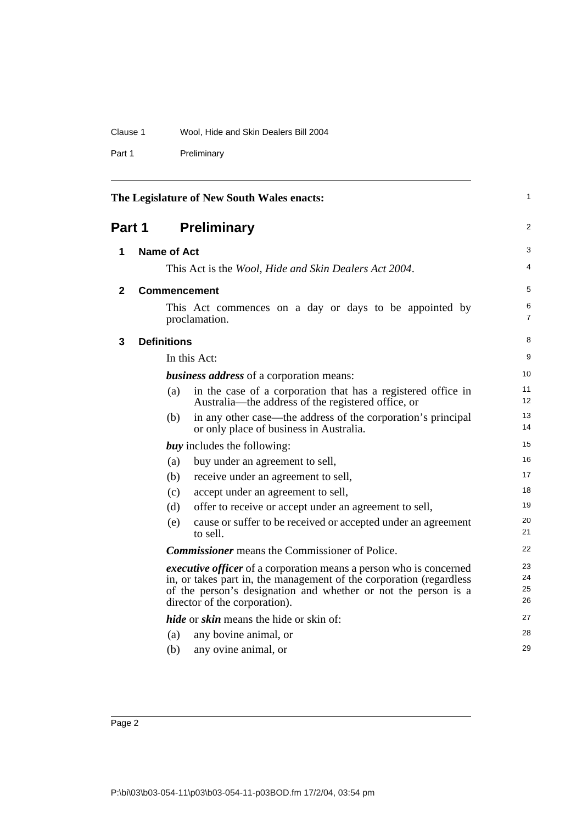| Clause 1 |  |  | Wool, Hide and Skin Dealers Bill 2004 |
|----------|--|--|---------------------------------------|

Part 1 Preliminary

| The Legislature of New South Wales enacts: |                    |                    |                                                                                                                                                                                                                                              |                      |
|--------------------------------------------|--------------------|--------------------|----------------------------------------------------------------------------------------------------------------------------------------------------------------------------------------------------------------------------------------------|----------------------|
| Part 1                                     |                    |                    | <b>Preliminary</b>                                                                                                                                                                                                                           | 2                    |
| 1                                          |                    | <b>Name of Act</b> |                                                                                                                                                                                                                                              | 3                    |
|                                            |                    |                    | This Act is the Wool, Hide and Skin Dealers Act 2004.                                                                                                                                                                                        | 4                    |
| 2                                          |                    |                    | <b>Commencement</b>                                                                                                                                                                                                                          | 5                    |
|                                            |                    |                    | This Act commences on a day or days to be appointed by<br>proclamation.                                                                                                                                                                      | 6<br>$\overline{7}$  |
| 3                                          | <b>Definitions</b> |                    |                                                                                                                                                                                                                                              | 8                    |
|                                            |                    |                    | In this Act:                                                                                                                                                                                                                                 | 9                    |
|                                            |                    |                    | <b>business address</b> of a corporation means:                                                                                                                                                                                              | 10                   |
|                                            |                    | (a)                | in the case of a corporation that has a registered office in<br>Australia-the address of the registered office, or                                                                                                                           | 11<br>12             |
|                                            |                    | (b)                | in any other case—the address of the corporation's principal<br>or only place of business in Australia.                                                                                                                                      | 13<br>14             |
|                                            |                    |                    | <b><i>buy</i></b> includes the following:                                                                                                                                                                                                    | 15                   |
|                                            |                    | (a)                | buy under an agreement to sell,                                                                                                                                                                                                              | 16                   |
|                                            |                    | (b)                | receive under an agreement to sell,                                                                                                                                                                                                          | 17                   |
|                                            |                    | (c)                | accept under an agreement to sell,                                                                                                                                                                                                           | 18                   |
|                                            |                    | (d)                | offer to receive or accept under an agreement to sell,                                                                                                                                                                                       | 19                   |
|                                            |                    | (e)                | cause or suffer to be received or accepted under an agreement<br>to sell.                                                                                                                                                                    | 20<br>21             |
|                                            |                    |                    | <b>Commissioner</b> means the Commissioner of Police.                                                                                                                                                                                        | 22                   |
|                                            |                    |                    | executive officer of a corporation means a person who is concerned<br>in, or takes part in, the management of the corporation (regardless<br>of the person's designation and whether or not the person is a<br>director of the corporation). | 23<br>24<br>25<br>26 |
|                                            |                    |                    | <i>hide</i> or <i>skin</i> means the hide or <i>skin</i> of:                                                                                                                                                                                 | 27                   |
|                                            |                    | (a)                | any bovine animal, or                                                                                                                                                                                                                        | 28                   |
|                                            |                    | (b)                | any ovine animal, or                                                                                                                                                                                                                         | 29                   |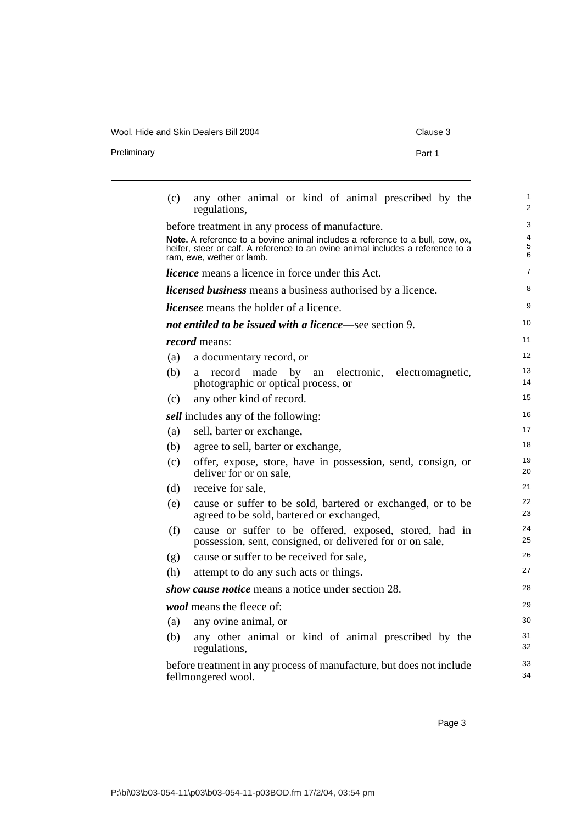Wool, Hide and Skin Dealers Bill 2004 Clause 3 Preliminary **Part 1** 

| (c) | any other animal or kind of animal prescribed by the<br>regulations,                                                                                                                          |  |
|-----|-----------------------------------------------------------------------------------------------------------------------------------------------------------------------------------------------|--|
|     | before treatment in any process of manufacture.                                                                                                                                               |  |
|     | Note. A reference to a bovine animal includes a reference to a bull, cow, ox,<br>heifer, steer or calf. A reference to an ovine animal includes a reference to a<br>ram, ewe, wether or lamb. |  |
|     | <i>licence</i> means a licence in force under this Act.                                                                                                                                       |  |
|     | <i>licensed business</i> means a business authorised by a licence.                                                                                                                            |  |
|     | <i>licensee</i> means the holder of a licence.                                                                                                                                                |  |
|     | not entitled to be issued with a licence—see section 9.                                                                                                                                       |  |
|     | <i>record</i> means:                                                                                                                                                                          |  |
| (a) | a documentary record, or                                                                                                                                                                      |  |
| (b) | record<br>made<br>by<br>an<br>electronic, electromagnetic,<br>a<br>photographic or optical process, or                                                                                        |  |
| (c) | any other kind of record.                                                                                                                                                                     |  |
|     | sell includes any of the following:                                                                                                                                                           |  |
| (a) | sell, barter or exchange,                                                                                                                                                                     |  |
| (b) | agree to sell, barter or exchange,                                                                                                                                                            |  |
| (c) | offer, expose, store, have in possession, send, consign, or<br>deliver for or on sale,                                                                                                        |  |
| (d) | receive for sale.                                                                                                                                                                             |  |
| (e) | cause or suffer to be sold, bartered or exchanged, or to be<br>agreed to be sold, bartered or exchanged,                                                                                      |  |
| (f) | cause or suffer to be offered, exposed, stored, had in<br>possession, sent, consigned, or delivered for or on sale,                                                                           |  |
| (g) | cause or suffer to be received for sale.                                                                                                                                                      |  |
| (h) | attempt to do any such acts or things.                                                                                                                                                        |  |
|     | <i>show cause notice</i> means a notice under section 28.                                                                                                                                     |  |
|     | <i>wool</i> means the fleece of:                                                                                                                                                              |  |
| (a) | any ovine animal, or                                                                                                                                                                          |  |
| (b) | any other animal or kind of animal prescribed by the<br>regulations,                                                                                                                          |  |
|     | before treatment in any process of manufacture, but does not include<br>fellmongered wool.                                                                                                    |  |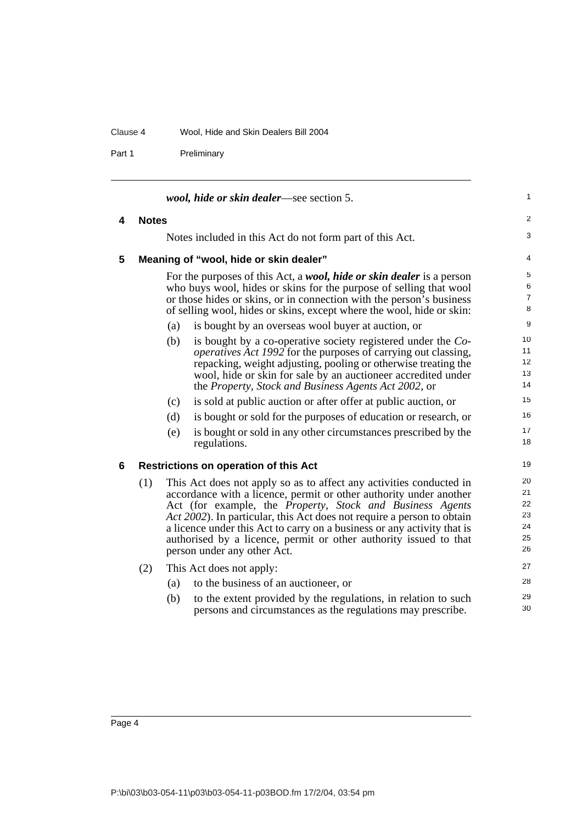| Clause 4 | Wool, Hide and Skin Dealers Bill 2004 |
|----------|---------------------------------------|
|          |                                       |

Part 1 Preliminary

|   |              |     | <i>wool, hide or skin dealer—see section 5.</i>                                                                                                                                                                                                                                                                                                                                                                                                                 | 1                                      |
|---|--------------|-----|-----------------------------------------------------------------------------------------------------------------------------------------------------------------------------------------------------------------------------------------------------------------------------------------------------------------------------------------------------------------------------------------------------------------------------------------------------------------|----------------------------------------|
| 4 | <b>Notes</b> |     |                                                                                                                                                                                                                                                                                                                                                                                                                                                                 | 2                                      |
|   |              |     | Notes included in this Act do not form part of this Act.                                                                                                                                                                                                                                                                                                                                                                                                        | 3                                      |
| 5 |              |     | Meaning of "wool, hide or skin dealer"                                                                                                                                                                                                                                                                                                                                                                                                                          | 4                                      |
|   |              |     | For the purposes of this Act, a <i>wool</i> , <i>hide or skin dealer</i> is a person<br>who buys wool, hides or skins for the purpose of selling that wool<br>or those hides or skins, or in connection with the person's business<br>of selling wool, hides or skins, except where the wool, hide or skin:                                                                                                                                                     | 5<br>6<br>7<br>8                       |
|   |              | (a) | is bought by an overseas wool buyer at auction, or                                                                                                                                                                                                                                                                                                                                                                                                              | 9                                      |
|   |              | (b) | is bought by a co-operative society registered under the Co-<br><i>operatives Act 1992</i> for the purposes of carrying out classing,<br>repacking, weight adjusting, pooling or otherwise treating the<br>wool, hide or skin for sale by an auctioneer accredited under<br>the Property, Stock and Business Agents Act 2002, or                                                                                                                                | 10<br>11<br>12<br>13<br>14             |
|   |              | (c) | is sold at public auction or after offer at public auction, or                                                                                                                                                                                                                                                                                                                                                                                                  | 15                                     |
|   |              | (d) | is bought or sold for the purposes of education or research, or                                                                                                                                                                                                                                                                                                                                                                                                 | 16                                     |
|   |              | (e) | is bought or sold in any other circumstances prescribed by the<br>regulations.                                                                                                                                                                                                                                                                                                                                                                                  | 17<br>18                               |
| 6 |              |     | <b>Restrictions on operation of this Act</b>                                                                                                                                                                                                                                                                                                                                                                                                                    | 19                                     |
|   | (1)          |     | This Act does not apply so as to affect any activities conducted in<br>accordance with a licence, permit or other authority under another<br>Act (for example, the Property, Stock and Business Agents<br>Act 2002). In particular, this Act does not require a person to obtain<br>a licence under this Act to carry on a business or any activity that is<br>authorised by a licence, permit or other authority issued to that<br>person under any other Act. | 20<br>21<br>22<br>23<br>24<br>25<br>26 |
|   | (2)          |     | This Act does not apply:                                                                                                                                                                                                                                                                                                                                                                                                                                        | 27                                     |
|   |              | (a) | to the business of an auctioneer, or                                                                                                                                                                                                                                                                                                                                                                                                                            | 28                                     |
|   |              | (b) | to the extent provided by the regulations, in relation to such<br>persons and circumstances as the regulations may prescribe.                                                                                                                                                                                                                                                                                                                                   | 29<br>30                               |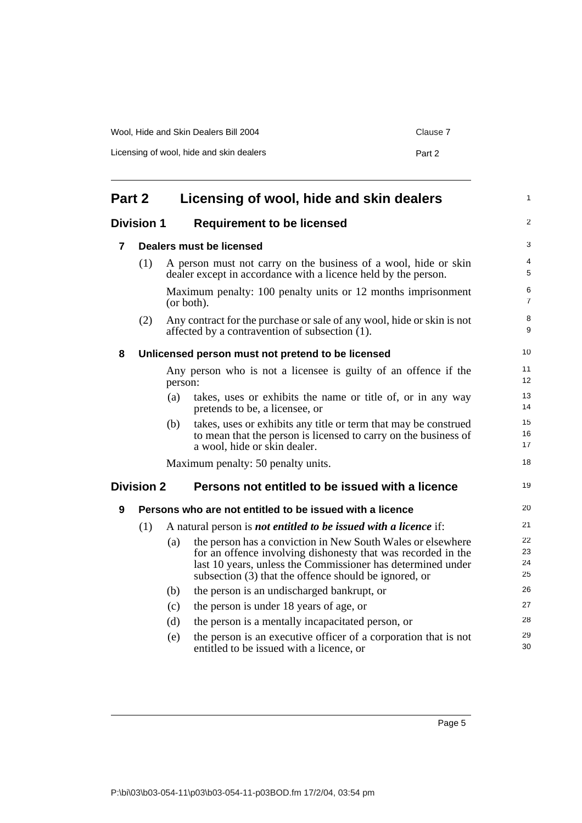| Wool, Hide and Skin Dealers Bill 2004    | Clause 7 |
|------------------------------------------|----------|
| Licensing of wool, hide and skin dealers | Part 2   |

| Part 2<br>Licensing of wool, hide and skin dealers     |                   |         |                                                                                                                                                                                                                                                     |                      |  |  |  |
|--------------------------------------------------------|-------------------|---------|-----------------------------------------------------------------------------------------------------------------------------------------------------------------------------------------------------------------------------------------------------|----------------------|--|--|--|
| <b>Division 1</b><br><b>Requirement to be licensed</b> |                   |         |                                                                                                                                                                                                                                                     |                      |  |  |  |
| Dealers must be licensed<br>7                          |                   |         |                                                                                                                                                                                                                                                     |                      |  |  |  |
|                                                        | (1)               |         | A person must not carry on the business of a wool, hide or skin<br>dealer except in accordance with a licence held by the person.                                                                                                                   | $\overline{4}$<br>5  |  |  |  |
|                                                        |                   |         | Maximum penalty: 100 penalty units or 12 months imprisonment<br>(or both).                                                                                                                                                                          | 6<br>$\overline{7}$  |  |  |  |
|                                                        | (2)               |         | Any contract for the purchase or sale of any wool, hide or skin is not<br>affected by a contravention of subsection (1).                                                                                                                            | 8<br>9               |  |  |  |
| 8                                                      |                   |         | Unlicensed person must not pretend to be licensed                                                                                                                                                                                                   | 10                   |  |  |  |
|                                                        |                   | person: | Any person who is not a licensee is guilty of an offence if the                                                                                                                                                                                     | 11<br>12             |  |  |  |
|                                                        |                   | (a)     | takes, uses or exhibits the name or title of, or in any way<br>pretends to be, a licensee, or                                                                                                                                                       | 13<br>14             |  |  |  |
|                                                        |                   | (b)     | takes, uses or exhibits any title or term that may be construed<br>to mean that the person is licensed to carry on the business of<br>a wool, hide or skin dealer.                                                                                  | 15<br>16<br>17       |  |  |  |
|                                                        |                   |         | Maximum penalty: 50 penalty units.                                                                                                                                                                                                                  | 18                   |  |  |  |
|                                                        | <b>Division 2</b> |         | Persons not entitled to be issued with a licence                                                                                                                                                                                                    | 19                   |  |  |  |
| 9                                                      |                   |         | Persons who are not entitled to be issued with a licence                                                                                                                                                                                            | 20                   |  |  |  |
|                                                        | (1)               |         | A natural person is <b><i>not entitled to be issued with a licence</i></b> if:                                                                                                                                                                      | 21                   |  |  |  |
|                                                        |                   | (a)     | the person has a conviction in New South Wales or elsewhere<br>for an offence involving dishonesty that was recorded in the<br>last 10 years, unless the Commissioner has determined under<br>subsection (3) that the offence should be ignored, or | 22<br>23<br>24<br>25 |  |  |  |
|                                                        |                   | (b)     | the person is an undischarged bankrupt, or                                                                                                                                                                                                          | 26                   |  |  |  |
|                                                        |                   | (c)     | the person is under 18 years of age, or                                                                                                                                                                                                             | 27                   |  |  |  |
|                                                        |                   | (d)     | the person is a mentally incapacitated person, or                                                                                                                                                                                                   | 28                   |  |  |  |
|                                                        |                   | (e)     | the person is an executive officer of a corporation that is not<br>entitled to be issued with a licence, or                                                                                                                                         | 29<br>30             |  |  |  |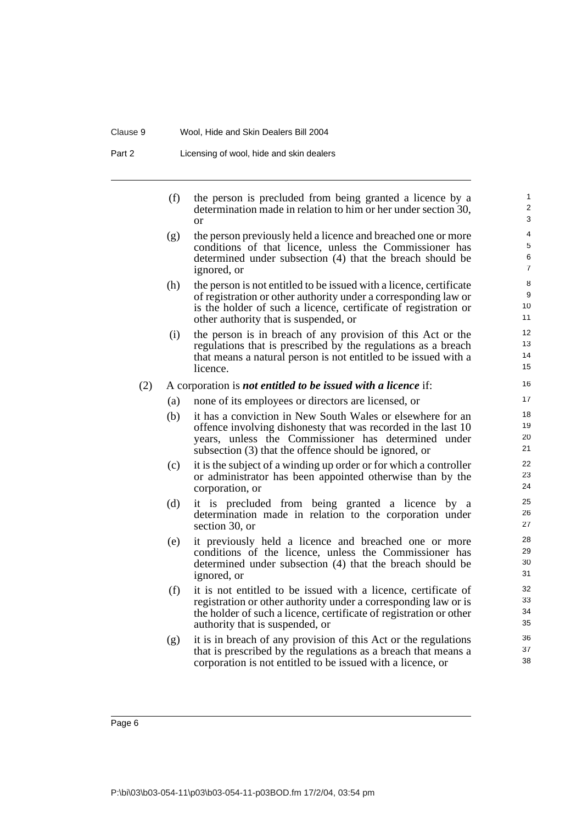#### Clause 9 Wool, Hide and Skin Dealers Bill 2004

Part 2 Licensing of wool, hide and skin dealers

(f) the person is precluded from being granted a licence by a determination made in relation to him or her under section 30, or

- (g) the person previously held a licence and breached one or more conditions of that licence, unless the Commissioner has determined under subsection (4) that the breach should be ignored, or
- (h) the person is not entitled to be issued with a licence, certificate of registration or other authority under a corresponding law or is the holder of such a licence, certificate of registration or other authority that is suspended, or
- (i) the person is in breach of any provision of this Act or the regulations that is prescribed by the regulations as a breach that means a natural person is not entitled to be issued with a licence.

#### (2) A corporation is *not entitled to be issued with a licence* if:

- (a) none of its employees or directors are licensed, or
- (b) it has a conviction in New South Wales or elsewhere for an offence involving dishonesty that was recorded in the last 10 years, unless the Commissioner has determined under subsection (3) that the offence should be ignored, or
- (c) it is the subject of a winding up order or for which a controller or administrator has been appointed otherwise than by the corporation, or
- (d) it is precluded from being granted a licence by a determination made in relation to the corporation under section 30, or
- (e) it previously held a licence and breached one or more conditions of the licence, unless the Commissioner has determined under subsection (4) that the breach should be ignored, or
- (f) it is not entitled to be issued with a licence, certificate of registration or other authority under a corresponding law or is the holder of such a licence, certificate of registration or other authority that is suspended, or
- (g) it is in breach of any provision of this Act or the regulations that is prescribed by the regulations as a breach that means a corporation is not entitled to be issued with a licence, or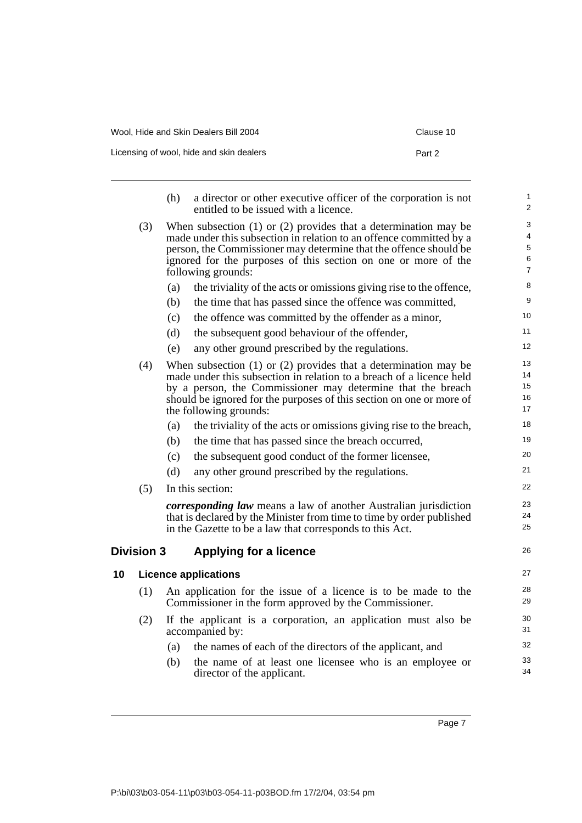| Wool. Hide and Skin Dealers Bill 2004    | Clause 10 |
|------------------------------------------|-----------|
| Licensing of wool, hide and skin dealers | Part 2    |

|     | (h)                         | a director or other executive officer of the corporation is not<br>entitled to be issued with a licence. | $\mathbf{1}$<br>2                                                                                                                                                                                                                                                                                                                                                                                                                                                                                                                                                                                                                                                                                                                                                                                                                                                                                                                                                                                                                                                            |  |
|-----|-----------------------------|----------------------------------------------------------------------------------------------------------|------------------------------------------------------------------------------------------------------------------------------------------------------------------------------------------------------------------------------------------------------------------------------------------------------------------------------------------------------------------------------------------------------------------------------------------------------------------------------------------------------------------------------------------------------------------------------------------------------------------------------------------------------------------------------------------------------------------------------------------------------------------------------------------------------------------------------------------------------------------------------------------------------------------------------------------------------------------------------------------------------------------------------------------------------------------------------|--|
|     |                             |                                                                                                          | 3                                                                                                                                                                                                                                                                                                                                                                                                                                                                                                                                                                                                                                                                                                                                                                                                                                                                                                                                                                                                                                                                            |  |
|     |                             |                                                                                                          | 4                                                                                                                                                                                                                                                                                                                                                                                                                                                                                                                                                                                                                                                                                                                                                                                                                                                                                                                                                                                                                                                                            |  |
|     |                             |                                                                                                          | 5                                                                                                                                                                                                                                                                                                                                                                                                                                                                                                                                                                                                                                                                                                                                                                                                                                                                                                                                                                                                                                                                            |  |
|     |                             |                                                                                                          | 6<br>$\overline{7}$                                                                                                                                                                                                                                                                                                                                                                                                                                                                                                                                                                                                                                                                                                                                                                                                                                                                                                                                                                                                                                                          |  |
|     | (a)                         | the triviality of the acts or omissions giving rise to the offence,                                      | 8                                                                                                                                                                                                                                                                                                                                                                                                                                                                                                                                                                                                                                                                                                                                                                                                                                                                                                                                                                                                                                                                            |  |
|     | (b)                         | the time that has passed since the offence was committed,                                                | 9                                                                                                                                                                                                                                                                                                                                                                                                                                                                                                                                                                                                                                                                                                                                                                                                                                                                                                                                                                                                                                                                            |  |
|     | (c)                         | the offence was committed by the offender as a minor,                                                    | 10                                                                                                                                                                                                                                                                                                                                                                                                                                                                                                                                                                                                                                                                                                                                                                                                                                                                                                                                                                                                                                                                           |  |
|     | (d)                         | the subsequent good behaviour of the offender,                                                           | 11                                                                                                                                                                                                                                                                                                                                                                                                                                                                                                                                                                                                                                                                                                                                                                                                                                                                                                                                                                                                                                                                           |  |
|     | (e)                         | any other ground prescribed by the regulations.                                                          | 12                                                                                                                                                                                                                                                                                                                                                                                                                                                                                                                                                                                                                                                                                                                                                                                                                                                                                                                                                                                                                                                                           |  |
|     |                             |                                                                                                          | 13                                                                                                                                                                                                                                                                                                                                                                                                                                                                                                                                                                                                                                                                                                                                                                                                                                                                                                                                                                                                                                                                           |  |
|     |                             |                                                                                                          | 14                                                                                                                                                                                                                                                                                                                                                                                                                                                                                                                                                                                                                                                                                                                                                                                                                                                                                                                                                                                                                                                                           |  |
|     |                             |                                                                                                          | 15<br>16                                                                                                                                                                                                                                                                                                                                                                                                                                                                                                                                                                                                                                                                                                                                                                                                                                                                                                                                                                                                                                                                     |  |
|     |                             |                                                                                                          | 17                                                                                                                                                                                                                                                                                                                                                                                                                                                                                                                                                                                                                                                                                                                                                                                                                                                                                                                                                                                                                                                                           |  |
|     | (a)                         | the triviality of the acts or omissions giving rise to the breach,                                       | 18                                                                                                                                                                                                                                                                                                                                                                                                                                                                                                                                                                                                                                                                                                                                                                                                                                                                                                                                                                                                                                                                           |  |
|     | (b)                         | the time that has passed since the breach occurred,                                                      | 19                                                                                                                                                                                                                                                                                                                                                                                                                                                                                                                                                                                                                                                                                                                                                                                                                                                                                                                                                                                                                                                                           |  |
|     | (c)                         | the subsequent good conduct of the former licensee,                                                      | 20                                                                                                                                                                                                                                                                                                                                                                                                                                                                                                                                                                                                                                                                                                                                                                                                                                                                                                                                                                                                                                                                           |  |
|     | (d)                         | any other ground prescribed by the regulations.                                                          | 21                                                                                                                                                                                                                                                                                                                                                                                                                                                                                                                                                                                                                                                                                                                                                                                                                                                                                                                                                                                                                                                                           |  |
| (5) |                             |                                                                                                          | 22                                                                                                                                                                                                                                                                                                                                                                                                                                                                                                                                                                                                                                                                                                                                                                                                                                                                                                                                                                                                                                                                           |  |
|     |                             |                                                                                                          | 23                                                                                                                                                                                                                                                                                                                                                                                                                                                                                                                                                                                                                                                                                                                                                                                                                                                                                                                                                                                                                                                                           |  |
|     |                             |                                                                                                          | 24<br>25                                                                                                                                                                                                                                                                                                                                                                                                                                                                                                                                                                                                                                                                                                                                                                                                                                                                                                                                                                                                                                                                     |  |
|     |                             | <b>Applying for a licence</b>                                                                            | 26                                                                                                                                                                                                                                                                                                                                                                                                                                                                                                                                                                                                                                                                                                                                                                                                                                                                                                                                                                                                                                                                           |  |
|     | <b>Licence applications</b> |                                                                                                          |                                                                                                                                                                                                                                                                                                                                                                                                                                                                                                                                                                                                                                                                                                                                                                                                                                                                                                                                                                                                                                                                              |  |
| (1) |                             |                                                                                                          | 28<br>29                                                                                                                                                                                                                                                                                                                                                                                                                                                                                                                                                                                                                                                                                                                                                                                                                                                                                                                                                                                                                                                                     |  |
| (2) |                             |                                                                                                          | 30<br>31                                                                                                                                                                                                                                                                                                                                                                                                                                                                                                                                                                                                                                                                                                                                                                                                                                                                                                                                                                                                                                                                     |  |
|     | (a)                         | the names of each of the directors of the applicant, and                                                 | 32                                                                                                                                                                                                                                                                                                                                                                                                                                                                                                                                                                                                                                                                                                                                                                                                                                                                                                                                                                                                                                                                           |  |
|     | (b)                         | the name of at least one licensee who is an employee or<br>director of the applicant.                    | 33<br>34                                                                                                                                                                                                                                                                                                                                                                                                                                                                                                                                                                                                                                                                                                                                                                                                                                                                                                                                                                                                                                                                     |  |
|     | (3)<br>(4)                  | <b>Division 3</b>                                                                                        | When subsection $(1)$ or $(2)$ provides that a determination may be<br>made under this subsection in relation to an offence committed by a<br>person, the Commissioner may determine that the offence should be<br>ignored for the purposes of this section on one or more of the<br>following grounds:<br>When subsection $(1)$ or $(2)$ provides that a determination may be<br>made under this subsection in relation to a breach of a licence held<br>by a person, the Commissioner may determine that the breach<br>should be ignored for the purposes of this section on one or more of<br>the following grounds:<br>In this section:<br><i>corresponding law</i> means a law of another Australian jurisdiction<br>that is declared by the Minister from time to time by order published<br>in the Gazette to be a law that corresponds to this Act.<br>An application for the issue of a licence is to be made to the<br>Commissioner in the form approved by the Commissioner.<br>If the applicant is a corporation, an application must also be<br>accompanied by: |  |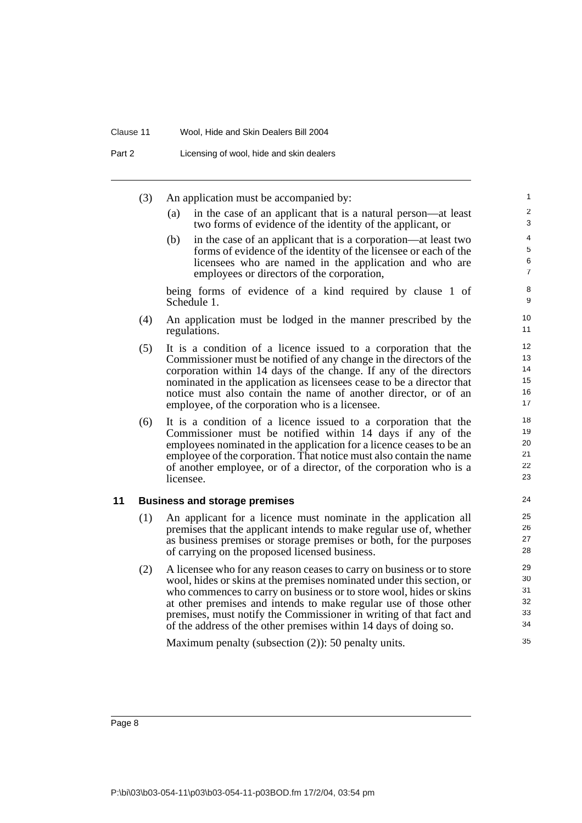#### Clause 11 Wool, Hide and Skin Dealers Bill 2004

| Part 2 | Licensing of wool, hide and skin dealers |
|--------|------------------------------------------|
|--------|------------------------------------------|

- (3) An application must be accompanied by:
	- (a) in the case of an applicant that is a natural person—at least two forms of evidence of the identity of the applicant, or

(b) in the case of an applicant that is a corporation—at least two forms of evidence of the identity of the licensee or each of the licensees who are named in the application and who are employees or directors of the corporation,

being forms of evidence of a kind required by clause 1 of Schedule 1.

- (4) An application must be lodged in the manner prescribed by the regulations.
- (5) It is a condition of a licence issued to a corporation that the Commissioner must be notified of any change in the directors of the corporation within 14 days of the change. If any of the directors nominated in the application as licensees cease to be a director that notice must also contain the name of another director, or of an employee, of the corporation who is a licensee.
- (6) It is a condition of a licence issued to a corporation that the Commissioner must be notified within 14 days if any of the employees nominated in the application for a licence ceases to be an employee of the corporation. That notice must also contain the name of another employee, or of a director, of the corporation who is a licensee.

#### **11 Business and storage premises**

- (1) An applicant for a licence must nominate in the application all premises that the applicant intends to make regular use of, whether as business premises or storage premises or both, for the purposes of carrying on the proposed licensed business.
- (2) A licensee who for any reason ceases to carry on business or to store wool, hides or skins at the premises nominated under this section, or who commences to carry on business or to store wool, hides or skins at other premises and intends to make regular use of those other premises, must notify the Commissioner in writing of that fact and of the address of the other premises within 14 days of doing so.

Maximum penalty (subsection (2)): 50 penalty units.

Page 8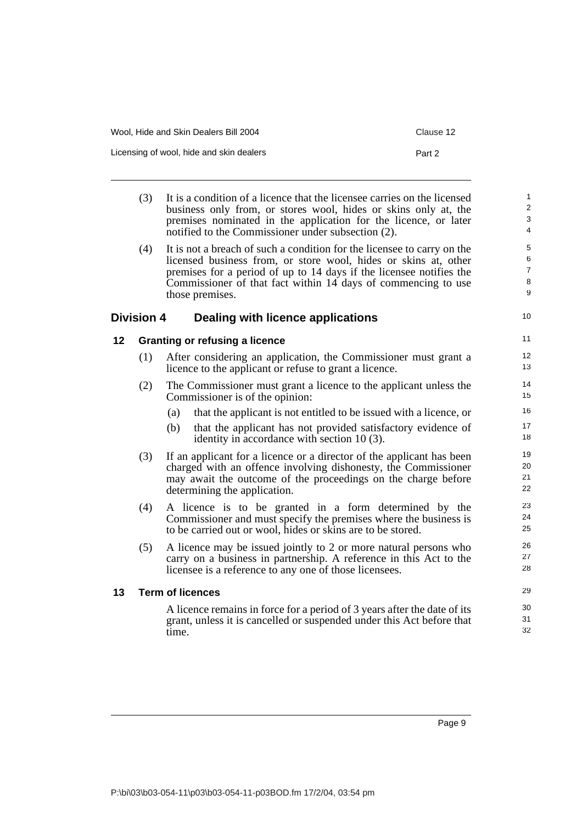| Wool, Hide and Skin Dealers Bill 2004    | Clause 12 |
|------------------------------------------|-----------|
| Licensing of wool, hide and skin dealers | Part 2    |

|    | (3)               | It is a condition of a licence that the licensee carries on the licensed<br>business only from, or stores wool, hides or skins only at, the<br>premises nominated in the application for the licence, or later<br>notified to the Commissioner under subsection (2).                                  | $\mathbf{1}$<br>$\overline{2}$<br>3<br>$\overline{4}$ |
|----|-------------------|-------------------------------------------------------------------------------------------------------------------------------------------------------------------------------------------------------------------------------------------------------------------------------------------------------|-------------------------------------------------------|
|    | (4)               | It is not a breach of such a condition for the licensee to carry on the<br>licensed business from, or store wool, hides or skins at, other<br>premises for a period of up to 14 days if the licensee notifies the<br>Commissioner of that fact within 14 days of commencing to use<br>those premises. | 5<br>$\,6$<br>$\overline{7}$<br>8<br>$\boldsymbol{9}$ |
|    | <b>Division 4</b> | Dealing with licence applications                                                                                                                                                                                                                                                                     | 10                                                    |
| 12 |                   | <b>Granting or refusing a licence</b>                                                                                                                                                                                                                                                                 | 11                                                    |
|    | (1)               | After considering an application, the Commissioner must grant a<br>licence to the applicant or refuse to grant a licence.                                                                                                                                                                             | 12<br>13                                              |
|    | (2)               | The Commissioner must grant a licence to the applicant unless the<br>Commissioner is of the opinion:                                                                                                                                                                                                  | 14<br>15                                              |
|    |                   | that the applicant is not entitled to be issued with a licence, or<br>(a)                                                                                                                                                                                                                             | 16                                                    |
|    |                   | that the applicant has not provided satisfactory evidence of<br>(b)<br>identity in accordance with section $10(3)$ .                                                                                                                                                                                  | 17<br>18                                              |
|    | (3)               | If an applicant for a licence or a director of the applicant has been<br>charged with an offence involving dishonesty, the Commissioner<br>may await the outcome of the proceedings on the charge before<br>determining the application.                                                              | 19<br>20<br>21<br>22                                  |
|    | (4)               | A licence is to be granted in a form determined by the<br>Commissioner and must specify the premises where the business is<br>to be carried out or wool, hides or skins are to be stored.                                                                                                             | 23<br>24<br>25                                        |
|    | (5)               | A licence may be issued jointly to 2 or more natural persons who<br>carry on a business in partnership. A reference in this Act to the<br>licensee is a reference to any one of those licensees.                                                                                                      | 26<br>27<br>28                                        |
| 13 |                   | <b>Term of licences</b>                                                                                                                                                                                                                                                                               | 29                                                    |
|    |                   | A licence remains in force for a period of 3 years after the date of its<br>grant, unless it is cancelled or suspended under this Act before that<br>time.                                                                                                                                            | 30<br>31<br>32                                        |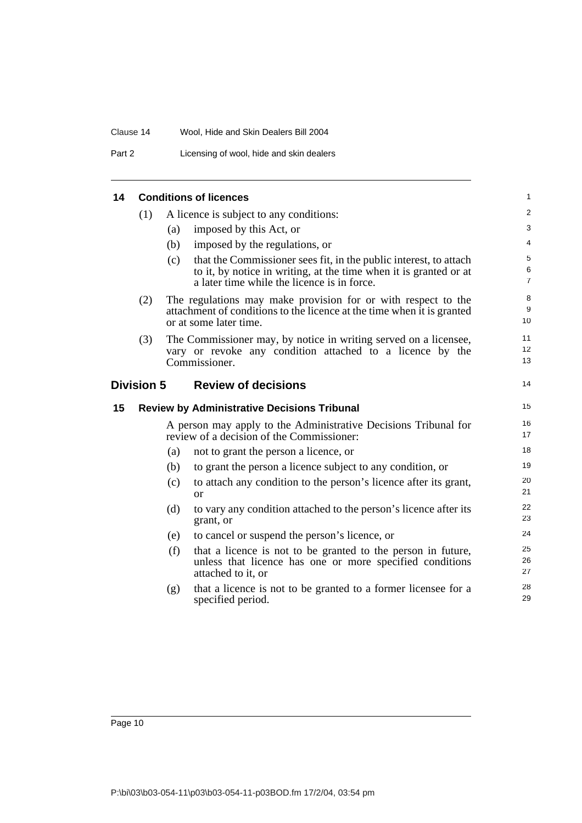#### Clause 14 Wool, Hide and Skin Dealers Bill 2004

Part 2 Licensing of wool, hide and skin dealers

| 14 |                   |     | <b>Conditions of licences</b>                                                                                                                                                         | 1                        |
|----|-------------------|-----|---------------------------------------------------------------------------------------------------------------------------------------------------------------------------------------|--------------------------|
|    | (1)               |     | A licence is subject to any conditions:                                                                                                                                               | 2                        |
|    |                   | (a) | imposed by this Act, or                                                                                                                                                               | 3                        |
|    |                   | (b) | imposed by the regulations, or                                                                                                                                                        | 4                        |
|    |                   | (c) | that the Commissioner sees fit, in the public interest, to attach<br>to it, by notice in writing, at the time when it is granted or at<br>a later time while the licence is in force. | 5<br>6<br>$\overline{7}$ |
|    | (2)               |     | The regulations may make provision for or with respect to the<br>attachment of conditions to the licence at the time when it is granted<br>or at some later time.                     | 8<br>9<br>10             |
|    | (3)               |     | The Commissioner may, by notice in writing served on a licensee,<br>vary or revoke any condition attached to a licence by the<br>Commissioner.                                        | 11<br>12<br>13           |
|    | <b>Division 5</b> |     | <b>Review of decisions</b>                                                                                                                                                            | 14                       |
| 15 |                   |     | <b>Review by Administrative Decisions Tribunal</b>                                                                                                                                    | 15                       |
|    |                   |     | A person may apply to the Administrative Decisions Tribunal for<br>review of a decision of the Commissioner:                                                                          | 16<br>17                 |
|    |                   | (a) | not to grant the person a licence, or                                                                                                                                                 | 18                       |
|    |                   | (b) | to grant the person a licence subject to any condition, or                                                                                                                            | 19                       |
|    |                   | (c) | to attach any condition to the person's licence after its grant,<br><sub>or</sub>                                                                                                     | 20<br>21                 |
|    |                   | (d) | to vary any condition attached to the person's licence after its<br>grant, or                                                                                                         | 22<br>23                 |
|    |                   | (e) | to cancel or suspend the person's licence, or                                                                                                                                         | 24                       |
|    |                   | (f) | that a licence is not to be granted to the person in future,<br>unless that licence has one or more specified conditions<br>attached to it, or                                        | 25<br>26<br>27           |
|    |                   | (g) | that a licence is not to be granted to a former licensee for a<br>specified period.                                                                                                   | 28<br>29                 |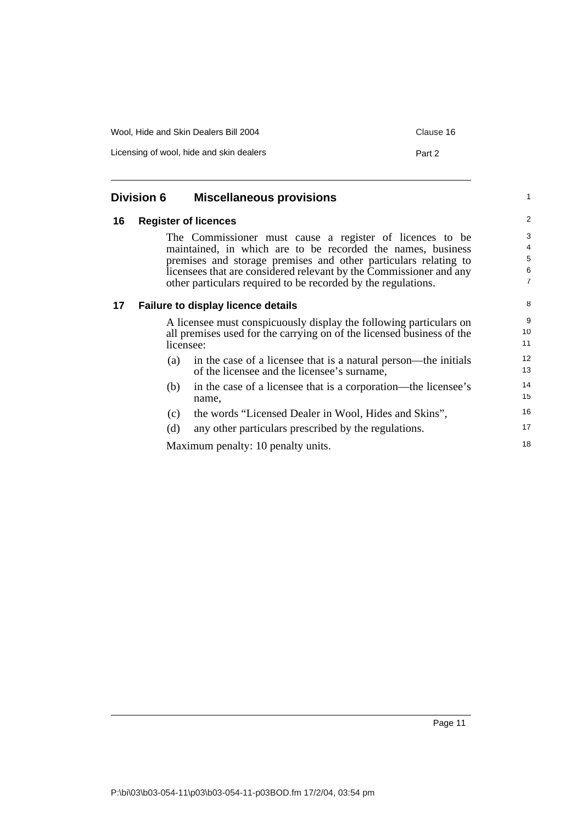| Wool, Hide and Skin Dealers Bill 2004    | Clause 16 |
|------------------------------------------|-----------|
| Licensing of wool, hide and skin dealers | Part 2    |

|    | <b>Division 6</b> | <b>Miscellaneous provisions</b>                                                                                                                                                                                                                                                                                                   | $\mathbf{1}$                                          |
|----|-------------------|-----------------------------------------------------------------------------------------------------------------------------------------------------------------------------------------------------------------------------------------------------------------------------------------------------------------------------------|-------------------------------------------------------|
| 16 |                   | <b>Register of licences</b>                                                                                                                                                                                                                                                                                                       | 2                                                     |
|    |                   | The Commissioner must cause a register of licences to be<br>maintained, in which are to be recorded the names, business<br>premises and storage premises and other particulars relating to<br>licensees that are considered relevant by the Commissioner and any<br>other particulars required to be recorded by the regulations. | 3<br>$\overline{4}$<br>5<br>$\,6\,$<br>$\overline{7}$ |
| 17 |                   | <b>Failure to display licence details</b>                                                                                                                                                                                                                                                                                         | 8                                                     |
|    |                   | A licensee must conspicuously display the following particulars on<br>all premises used for the carrying on of the licensed business of the<br>licensee:                                                                                                                                                                          | 9<br>10<br>11                                         |
|    | (a)               | in the case of a licensee that is a natural person—the initials<br>of the licensee and the licensee's surname,                                                                                                                                                                                                                    | 12<br>13                                              |
|    | (b)               | in the case of a licensee that is a corporation—the licensee's<br>name,                                                                                                                                                                                                                                                           | 14<br>15                                              |
|    | (c)               | the words "Licensed Dealer in Wool, Hides and Skins",                                                                                                                                                                                                                                                                             | 16                                                    |
|    | (d)               | any other particulars prescribed by the regulations.                                                                                                                                                                                                                                                                              | 17                                                    |
|    |                   | Maximum penalty: 10 penalty units.                                                                                                                                                                                                                                                                                                | 18                                                    |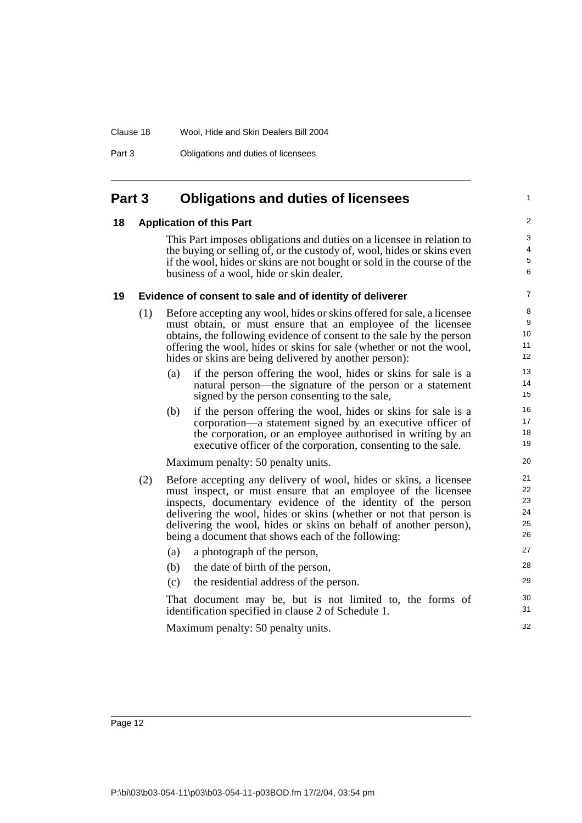Part 3 Obligations and duties of licensees

## **Part 3 Obligations and duties of licensees**

## **18 Application of this Part**

This Part imposes obligations and duties on a licensee in relation to the buying or selling of, or the custody of, wool, hides or skins even if the wool, hides or skins are not bought or sold in the course of the business of a wool, hide or skin dealer.

1

#### **19 Evidence of consent to sale and of identity of deliverer**

- (1) Before accepting any wool, hides or skins offered for sale, a licensee must obtain, or must ensure that an employee of the licensee obtains, the following evidence of consent to the sale by the person offering the wool, hides or skins for sale (whether or not the wool, hides or skins are being delivered by another person):
	- (a) if the person offering the wool, hides or skins for sale is a natural person—the signature of the person or a statement signed by the person consenting to the sale,
	- (b) if the person offering the wool, hides or skins for sale is a corporation—a statement signed by an executive officer of the corporation, or an employee authorised in writing by an executive officer of the corporation, consenting to the sale.

Maximum penalty: 50 penalty units.

- (2) Before accepting any delivery of wool, hides or skins, a licensee must inspect, or must ensure that an employee of the licensee inspects, documentary evidence of the identity of the person delivering the wool, hides or skins (whether or not that person is delivering the wool, hides or skins on behalf of another person), being a document that shows each of the following:
	- (a) a photograph of the person, (b) the date of birth of the person, (c) the residential address of the person. That document may be, but is not limited to, the forms of identification specified in clause 2 of Schedule 1. 27 28 29 30 31 32

Maximum penalty: 50 penalty units.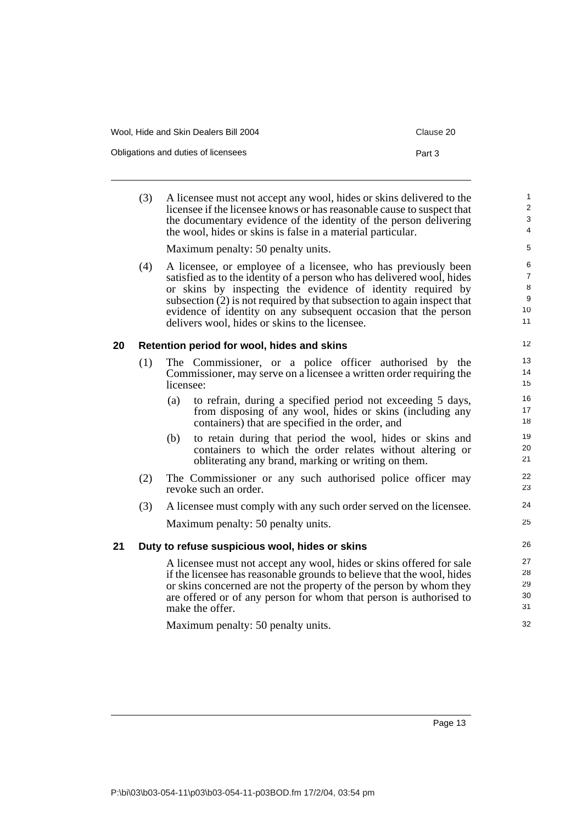| Wool. Hide and Skin Dealers Bill 2004 | Clause 20 |
|---------------------------------------|-----------|
| Obligations and duties of licensees   | Part 3    |

|    | (3) | A licensee must not accept any wool, hides or skins delivered to the<br>licensee if the licensee knows or has reasonable cause to suspect that<br>the documentary evidence of the identity of the person delivering<br>the wool, hides or skins is false in a material particular.                                                                                                                      | 1<br>$\overline{\mathbf{c}}$<br>3<br>4    |
|----|-----|---------------------------------------------------------------------------------------------------------------------------------------------------------------------------------------------------------------------------------------------------------------------------------------------------------------------------------------------------------------------------------------------------------|-------------------------------------------|
|    |     | Maximum penalty: 50 penalty units.                                                                                                                                                                                                                                                                                                                                                                      | 5                                         |
|    | (4) | A licensee, or employee of a licensee, who has previously been<br>satisfied as to the identity of a person who has delivered wool, hides<br>or skins by inspecting the evidence of identity required by<br>subsection (2) is not required by that subsection to again inspect that<br>evidence of identity on any subsequent occasion that the person<br>delivers wool, hides or skins to the licensee. | 6<br>$\overline{7}$<br>8<br>9<br>10<br>11 |
| 20 |     | Retention period for wool, hides and skins                                                                                                                                                                                                                                                                                                                                                              | 12                                        |
|    | (1) | The Commissioner, or a police officer authorised by the<br>Commissioner, may serve on a licensee a written order requiring the<br>licensee:                                                                                                                                                                                                                                                             | 13<br>14<br>15                            |
|    |     | to refrain, during a specified period not exceeding 5 days,<br>(a)<br>from disposing of any wool, hides or skins (including any<br>containers) that are specified in the order, and                                                                                                                                                                                                                     | 16<br>17<br>18                            |
|    |     | to retain during that period the wool, hides or skins and<br>(b)<br>containers to which the order relates without altering or<br>obliterating any brand, marking or writing on them.                                                                                                                                                                                                                    | 19<br>20<br>21                            |
|    | (2) | The Commissioner or any such authorised police officer may<br>revoke such an order.                                                                                                                                                                                                                                                                                                                     | 22<br>23                                  |
|    | (3) | A licensee must comply with any such order served on the licensee.                                                                                                                                                                                                                                                                                                                                      | 24                                        |
|    |     | Maximum penalty: 50 penalty units.                                                                                                                                                                                                                                                                                                                                                                      | 25                                        |
| 21 |     | Duty to refuse suspicious wool, hides or skins                                                                                                                                                                                                                                                                                                                                                          | 26                                        |
|    |     | A licensee must not accept any wool, hides or skins offered for sale<br>if the licensee has reasonable grounds to believe that the wool, hides<br>or skins concerned are not the property of the person by whom they<br>are offered or of any person for whom that person is authorised to<br>make the offer.                                                                                           | 27<br>28<br>29<br>30<br>31<br>32          |
|    |     | Maximum penalty: 50 penalty units.                                                                                                                                                                                                                                                                                                                                                                      |                                           |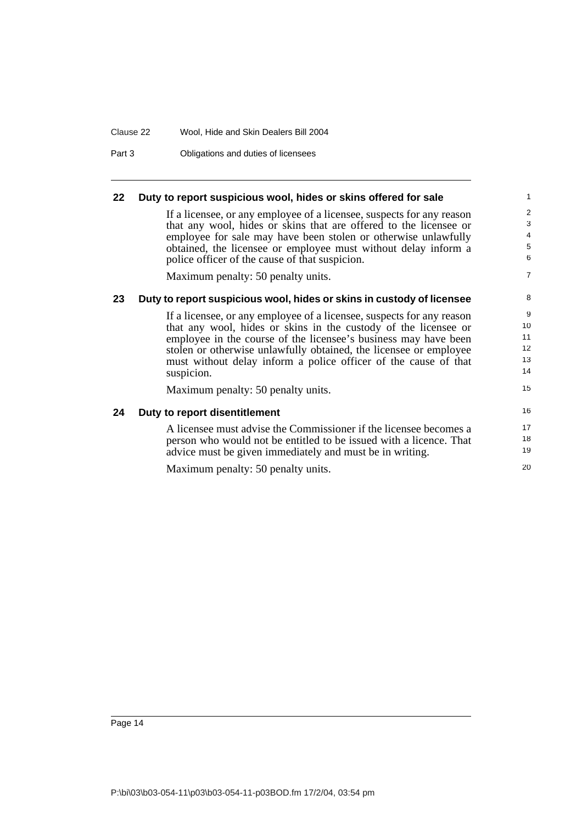#### Clause 22 Wool, Hide and Skin Dealers Bill 2004

Part 3 Obligations and duties of licensees

#### **22 Duty to report suspicious wool, hides or skins offered for sale**

If a licensee, or any employee of a licensee, suspects for any reason that any wool, hides or skins that are offered to the licensee or employee for sale may have been stolen or otherwise unlawfully obtained, the licensee or employee must without delay inform a police officer of the cause of that suspicion.

Maximum penalty: 50 penalty units.

#### **23 Duty to report suspicious wool, hides or skins in custody of licensee**

If a licensee, or any employee of a licensee, suspects for any reason that any wool, hides or skins in the custody of the licensee or employee in the course of the licensee's business may have been stolen or otherwise unlawfully obtained, the licensee or employee must without delay inform a police officer of the cause of that suspicion.

Maximum penalty: 50 penalty units.

#### **24 Duty to report disentitlement**

A licensee must advise the Commissioner if the licensee becomes a person who would not be entitled to be issued with a licence. That advice must be given immediately and must be in writing.

Maximum penalty: 50 penalty units.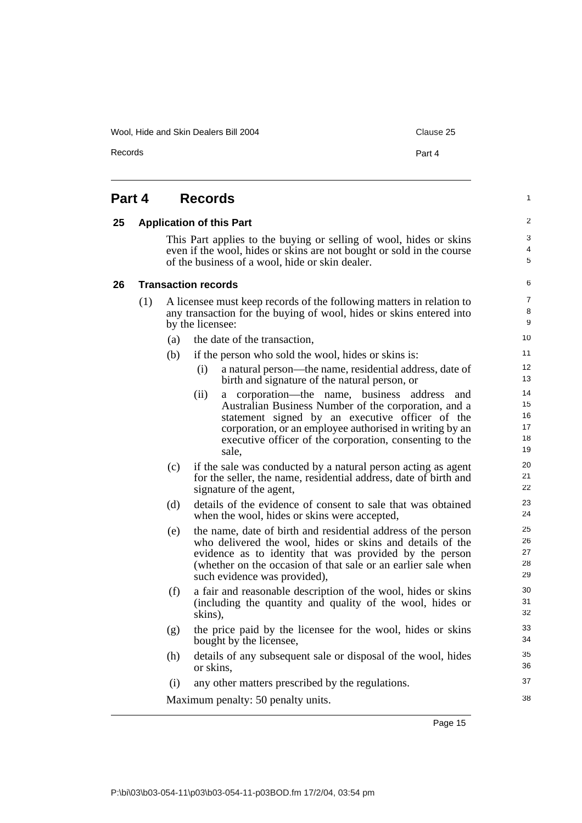Wool, Hide and Skin Dealers Bill 2004 Clause 25

Records **Part 4** 

| ×<br>× |  |
|--------|--|
|--------|--|

| Part 4 |     |     | <b>Records</b>                                                                                                                                                                                                                                                                                         | $\mathbf{1}$                     |
|--------|-----|-----|--------------------------------------------------------------------------------------------------------------------------------------------------------------------------------------------------------------------------------------------------------------------------------------------------------|----------------------------------|
| 25     |     |     | <b>Application of this Part</b>                                                                                                                                                                                                                                                                        | 2                                |
|        |     |     | This Part applies to the buying or selling of wool, hides or skins<br>even if the wool, hides or skins are not bought or sold in the course<br>of the business of a wool, hide or skin dealer.                                                                                                         | 3<br>4<br>5                      |
| 26     |     |     | <b>Transaction records</b>                                                                                                                                                                                                                                                                             | 6                                |
|        | (1) |     | A licensee must keep records of the following matters in relation to<br>any transaction for the buying of wool, hides or skins entered into<br>by the licensee:                                                                                                                                        | 7<br>8<br>9                      |
|        |     | (a) | the date of the transaction,                                                                                                                                                                                                                                                                           | 10                               |
|        |     | (b) | if the person who sold the wool, hides or skins is:                                                                                                                                                                                                                                                    | 11                               |
|        |     |     | (i)<br>a natural person—the name, residential address, date of<br>birth and signature of the natural person, or                                                                                                                                                                                        | 12<br>13                         |
|        |     |     | corporation-the name, business address<br>(ii)<br>and<br>a -<br>Australian Business Number of the corporation, and a<br>statement signed by an executive officer of the<br>corporation, or an employee authorised in writing by an<br>executive officer of the corporation, consenting to the<br>sale, | 14<br>15<br>16<br>17<br>18<br>19 |
|        |     | (c) | if the sale was conducted by a natural person acting as agent<br>for the seller, the name, residential address, date of birth and<br>signature of the agent,                                                                                                                                           | 20<br>21<br>22                   |
|        |     | (d) | details of the evidence of consent to sale that was obtained<br>when the wool, hides or skins were accepted,                                                                                                                                                                                           | 23<br>24                         |
|        |     | (e) | the name, date of birth and residential address of the person<br>who delivered the wool, hides or skins and details of the<br>evidence as to identity that was provided by the person<br>(whether on the occasion of that sale or an earlier sale when<br>such evidence was provided),                 | 25<br>26<br>27<br>28<br>29       |
|        |     | (f) | a fair and reasonable description of the wool, hides or skins<br>(including the quantity and quality of the wool, hides or<br>skins),                                                                                                                                                                  | 30<br>31<br>32                   |
|        |     | (g) | the price paid by the licensee for the wool, hides or skins<br>bought by the licensee,                                                                                                                                                                                                                 | 33<br>34                         |
|        |     | (h) | details of any subsequent sale or disposal of the wool, hides<br>or skins,                                                                                                                                                                                                                             | 35<br>36                         |
|        |     | (i) | any other matters prescribed by the regulations.                                                                                                                                                                                                                                                       | 37                               |
|        |     |     | Maximum penalty: 50 penalty units.                                                                                                                                                                                                                                                                     | 38                               |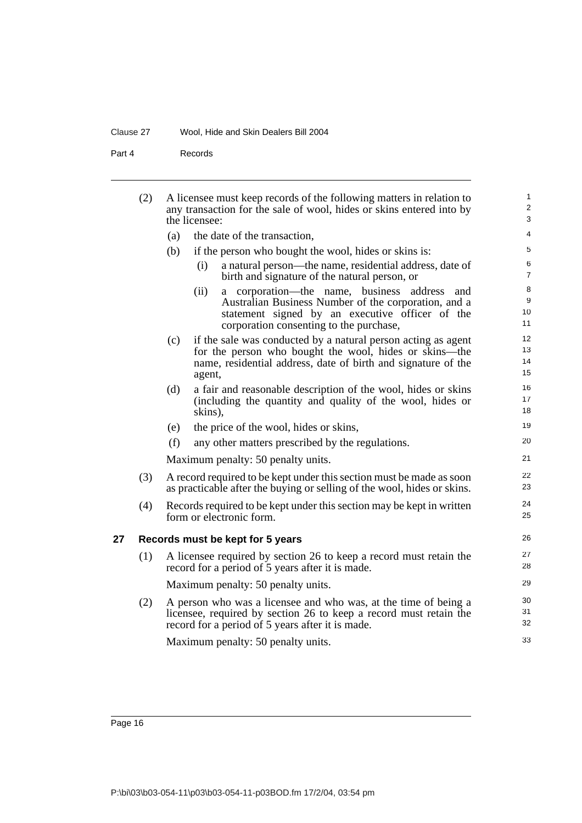#### Clause 27 Wool, Hide and Skin Dealers Bill 2004

Part 4 Records

|    | (2) |     | A licensee must keep records of the following matters in relation to<br>any transaction for the sale of wool, hides or skins entered into by<br>the licensee:                                                 | 1<br>$\overline{\mathbf{c}}$<br>3 |
|----|-----|-----|---------------------------------------------------------------------------------------------------------------------------------------------------------------------------------------------------------------|-----------------------------------|
|    |     | (a) | the date of the transaction,                                                                                                                                                                                  | 4                                 |
|    |     | (b) | if the person who bought the wool, hides or skins is:                                                                                                                                                         | 5                                 |
|    |     |     | a natural person—the name, residential address, date of<br>(i)<br>birth and signature of the natural person, or                                                                                               | 6<br>$\overline{7}$               |
|    |     |     | corporation-the name, business address and<br>(ii)<br>a<br>Australian Business Number of the corporation, and a<br>statement signed by an executive officer of the<br>corporation consenting to the purchase, | 8<br>9<br>10<br>11                |
|    |     | (c) | if the sale was conducted by a natural person acting as agent<br>for the person who bought the wool, hides or skins—the<br>name, residential address, date of birth and signature of the<br>agent,            | 12<br>13<br>14<br>15              |
|    |     | (d) | a fair and reasonable description of the wool, hides or skins<br>(including the quantity and quality of the wool, hides or<br>skins),                                                                         | 16<br>17<br>18                    |
|    |     | (e) | the price of the wool, hides or skins,                                                                                                                                                                        | 19                                |
|    |     | (f) | any other matters prescribed by the regulations.                                                                                                                                                              | 20                                |
|    |     |     | Maximum penalty: 50 penalty units.                                                                                                                                                                            | 21                                |
|    | (3) |     | A record required to be kept under this section must be made as soon<br>as practicable after the buying or selling of the wool, hides or skins.                                                               | 22<br>23                          |
|    | (4) |     | Records required to be kept under this section may be kept in written<br>form or electronic form.                                                                                                             | 24<br>25                          |
| 27 |     |     | Records must be kept for 5 years                                                                                                                                                                              | 26                                |
|    | (1) |     | A licensee required by section 26 to keep a record must retain the<br>record for a period of 5 years after it is made.                                                                                        | 27<br>28                          |
|    |     |     | Maximum penalty: 50 penalty units.                                                                                                                                                                            | 29                                |
|    | (2) |     | A person who was a licensee and who was, at the time of being a<br>licensee, required by section 26 to keep a record must retain the<br>record for a period of 5 years after it is made.                      | 30<br>31<br>32                    |
|    |     |     | Maximum penalty: 50 penalty units.                                                                                                                                                                            | 33                                |
|    |     |     |                                                                                                                                                                                                               |                                   |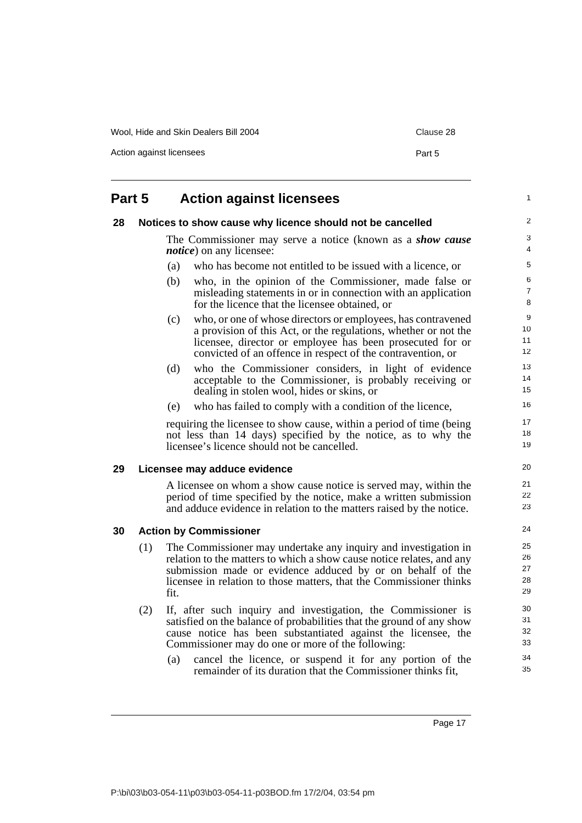| Wool, Hide and Skin Dealers Bill 2004 | Clause 28 |
|---------------------------------------|-----------|
| Action against licensees              | Part 5    |

| Part 5 |                                                                                                                                                                       | <b>Action against licensees</b>                                                                                                                                                                                                                                                       | 1                          |  |  |
|--------|-----------------------------------------------------------------------------------------------------------------------------------------------------------------------|---------------------------------------------------------------------------------------------------------------------------------------------------------------------------------------------------------------------------------------------------------------------------------------|----------------------------|--|--|
| 28     |                                                                                                                                                                       | Notices to show cause why licence should not be cancelled                                                                                                                                                                                                                             | $\overline{\mathbf{c}}$    |  |  |
|        |                                                                                                                                                                       | The Commissioner may serve a notice (known as a <i>show cause</i><br><i>notice</i> ) on any licensee:                                                                                                                                                                                 | 3<br>$\overline{4}$        |  |  |
|        |                                                                                                                                                                       | who has become not entitled to be issued with a licence, or<br>(a)                                                                                                                                                                                                                    | 5                          |  |  |
|        |                                                                                                                                                                       | (b)<br>who, in the opinion of the Commissioner, made false or<br>misleading statements in or in connection with an application<br>for the licence that the licensee obtained, or                                                                                                      | 6<br>7<br>8                |  |  |
|        |                                                                                                                                                                       | who, or one of whose directors or employees, has contravened<br>(c)<br>a provision of this Act, or the regulations, whether or not the<br>licensee, director or employee has been prosecuted for or<br>convicted of an offence in respect of the contravention, or                    | 9<br>10<br>11<br>12        |  |  |
|        | who the Commissioner considers, in light of evidence<br>(d)<br>acceptable to the Commissioner, is probably receiving or<br>dealing in stolen wool, hides or skins, or |                                                                                                                                                                                                                                                                                       | 13<br>14<br>15             |  |  |
|        | who has failed to comply with a condition of the licence,<br>(e)                                                                                                      |                                                                                                                                                                                                                                                                                       |                            |  |  |
|        |                                                                                                                                                                       | requiring the licensee to show cause, within a period of time (being)<br>not less than 14 days) specified by the notice, as to why the<br>licensee's licence should not be cancelled.                                                                                                 | 17<br>18<br>19             |  |  |
| 29     |                                                                                                                                                                       | Licensee may adduce evidence                                                                                                                                                                                                                                                          | 20                         |  |  |
|        |                                                                                                                                                                       | A licensee on whom a show cause notice is served may, within the<br>period of time specified by the notice, make a written submission<br>and adduce evidence in relation to the matters raised by the notice.                                                                         | 21<br>22<br>23             |  |  |
| 30     |                                                                                                                                                                       | <b>Action by Commissioner</b>                                                                                                                                                                                                                                                         | 24                         |  |  |
|        | (1)                                                                                                                                                                   | The Commissioner may undertake any inquiry and investigation in<br>relation to the matters to which a show cause notice relates, and any<br>submission made or evidence adduced by or on behalf of the<br>licensee in relation to those matters, that the Commissioner thinks<br>fit. | 25<br>26<br>27<br>28<br>29 |  |  |
|        | (2)                                                                                                                                                                   | If, after such inquiry and investigation, the Commissioner is<br>satisfied on the balance of probabilities that the ground of any show<br>cause notice has been substantiated against the licensee, the<br>Commissioner may do one or more of the following:                          | 30<br>31<br>32<br>33<br>34 |  |  |
|        |                                                                                                                                                                       | cancel the licence, or suspend it for any portion of the<br>(a)<br>remainder of its duration that the Commissioner thinks fit,                                                                                                                                                        | 35                         |  |  |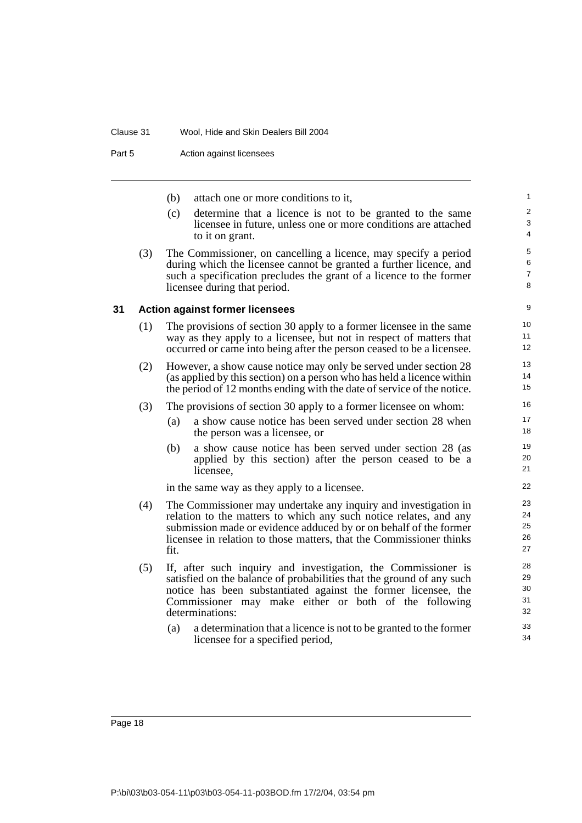#### Clause 31 Wool, Hide and Skin Dealers Bill 2004

Part 5 **Action against licensees** 

- (b) attach one or more conditions to it,
- (c) determine that a licence is not to be granted to the same licensee in future, unless one or more conditions are attached to it on grant.

(3) The Commissioner, on cancelling a licence, may specify a period during which the licensee cannot be granted a further licence, and such a specification precludes the grant of a licence to the former licensee during that period.

#### **31 Action against former licensees**

- (1) The provisions of section 30 apply to a former licensee in the same way as they apply to a licensee, but not in respect of matters that occurred or came into being after the person ceased to be a licensee.
- (2) However, a show cause notice may only be served under section 28 (as applied by this section) on a person who has held a licence within the period of 12 months ending with the date of service of the notice.
- (3) The provisions of section 30 apply to a former licensee on whom:
	- (a) a show cause notice has been served under section 28 when the person was a licensee, or
	- (b) a show cause notice has been served under section 28 (as applied by this section) after the person ceased to be a licensee,

in the same way as they apply to a licensee.

- (4) The Commissioner may undertake any inquiry and investigation in relation to the matters to which any such notice relates, and any submission made or evidence adduced by or on behalf of the former licensee in relation to those matters, that the Commissioner thinks fit.
- (5) If, after such inquiry and investigation, the Commissioner is satisfied on the balance of probabilities that the ground of any such notice has been substantiated against the former licensee, the Commissioner may make either or both of the following determinations:
	- (a) a determination that a licence is not to be granted to the former licensee for a specified period,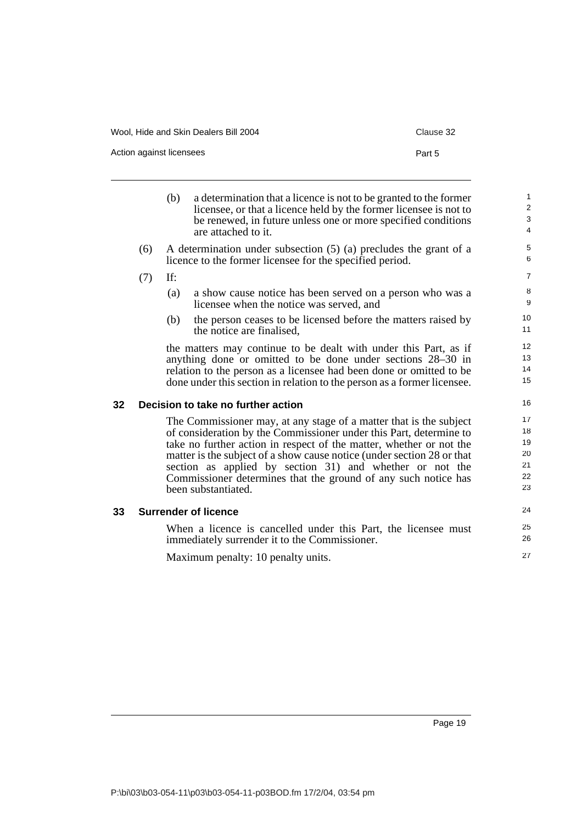| Wool, Hide and Skin Dealers Bill 2004 | Clause 32 |
|---------------------------------------|-----------|
| Action against licensees              | Part 5    |

|    |     | (b) | a determination that a licence is not to be granted to the former<br>licensee, or that a licence held by the former licensee is not to<br>be renewed, in future unless one or more specified conditions<br>are attached to it.                                                                                                                                                                                                                 | $\mathbf{1}$<br>$\boldsymbol{2}$<br>$\mathbf{3}$<br>$\overline{\mathbf{4}}$ |
|----|-----|-----|------------------------------------------------------------------------------------------------------------------------------------------------------------------------------------------------------------------------------------------------------------------------------------------------------------------------------------------------------------------------------------------------------------------------------------------------|-----------------------------------------------------------------------------|
|    | (6) |     | A determination under subsection $(5)$ (a) precludes the grant of a<br>licence to the former licensee for the specified period.                                                                                                                                                                                                                                                                                                                | $\mathbf 5$<br>6                                                            |
|    | (7) | If: |                                                                                                                                                                                                                                                                                                                                                                                                                                                | $\overline{7}$                                                              |
|    |     | (a) | a show cause notice has been served on a person who was a<br>licensee when the notice was served, and                                                                                                                                                                                                                                                                                                                                          | 8<br>$\boldsymbol{9}$                                                       |
|    |     | (b) | the person ceases to be licensed before the matters raised by<br>the notice are finalised.                                                                                                                                                                                                                                                                                                                                                     | 10<br>11                                                                    |
|    |     |     | the matters may continue to be dealt with under this Part, as if<br>anything done or omitted to be done under sections 28–30 in<br>relation to the person as a licensee had been done or omitted to be<br>done under this section in relation to the person as a former licensee.                                                                                                                                                              | 12<br>13<br>14<br>15                                                        |
| 32 |     |     | Decision to take no further action                                                                                                                                                                                                                                                                                                                                                                                                             | 16                                                                          |
|    |     |     | The Commissioner may, at any stage of a matter that is the subject<br>of consideration by the Commissioner under this Part, determine to<br>take no further action in respect of the matter, whether or not the<br>matter is the subject of a show cause notice (under section 28 or that<br>section as applied by section 31) and whether or not the<br>Commissioner determines that the ground of any such notice has<br>been substantiated. | 17<br>18<br>19<br>20<br>21<br>22<br>23                                      |
| 33 |     |     | <b>Surrender of licence</b>                                                                                                                                                                                                                                                                                                                                                                                                                    | 24                                                                          |
|    |     |     | When a licence is cancelled under this Part the licensee must                                                                                                                                                                                                                                                                                                                                                                                  | 25                                                                          |

When a licence is cancelled under this Part, the licensee must immediately surrender it to the Commissioner.

Maximum penalty: 10 penalty units.

**33** 

26 27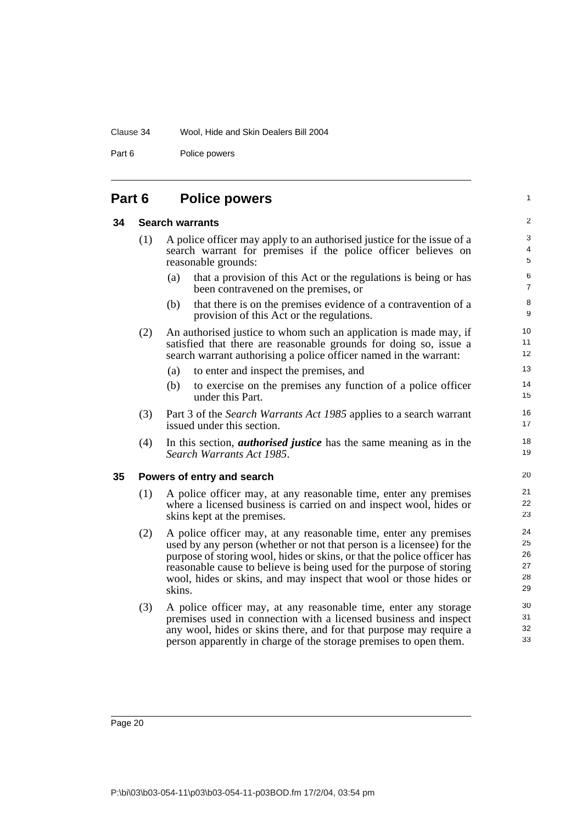Clause 34 Wool, Hide and Skin Dealers Bill 2004

Part 6 Police powers

| Part 6 |                        | <b>Police powers</b>                                                                                                                                                                                                                                                                                                                                                        | $\mathbf{1}$                     |
|--------|------------------------|-----------------------------------------------------------------------------------------------------------------------------------------------------------------------------------------------------------------------------------------------------------------------------------------------------------------------------------------------------------------------------|----------------------------------|
| 34     | <b>Search warrants</b> |                                                                                                                                                                                                                                                                                                                                                                             | 2                                |
|        | (1)                    | A police officer may apply to an authorised justice for the issue of a<br>search warrant for premises if the police officer believes on<br>reasonable grounds:                                                                                                                                                                                                              | 3<br>$\overline{4}$<br>5         |
|        |                        | that a provision of this Act or the regulations is being or has<br>(a)<br>been contravened on the premises, or                                                                                                                                                                                                                                                              |                                  |
|        |                        | that there is on the premises evidence of a contravention of a<br>(b)<br>provision of this Act or the regulations.                                                                                                                                                                                                                                                          | 8<br>9                           |
|        | (2)                    | An authorised justice to whom such an application is made may, if<br>satisfied that there are reasonable grounds for doing so, issue a<br>search warrant authorising a police officer named in the warrant:                                                                                                                                                                 | 10<br>11<br>12                   |
|        |                        | (a)<br>to enter and inspect the premises, and                                                                                                                                                                                                                                                                                                                               | 13                               |
|        |                        | to exercise on the premises any function of a police officer<br>(b)<br>under this Part.                                                                                                                                                                                                                                                                                     |                                  |
|        | (3)                    | Part 3 of the <i>Search Warrants Act 1985</i> applies to a search warrant<br>issued under this section.                                                                                                                                                                                                                                                                     |                                  |
|        | (4)                    | In this section, <i>authorised justice</i> has the same meaning as in the<br>Search Warrants Act 1985.                                                                                                                                                                                                                                                                      | 18<br>19                         |
| 35     |                        | Powers of entry and search                                                                                                                                                                                                                                                                                                                                                  | 20                               |
|        | (1)                    | A police officer may, at any reasonable time, enter any premises<br>where a licensed business is carried on and inspect wool, hides or<br>skins kept at the premises.                                                                                                                                                                                                       | 21<br>22<br>23                   |
|        | (2)                    | A police officer may, at any reasonable time, enter any premises<br>used by any person (whether or not that person is a licensee) for the<br>purpose of storing wool, hides or skins, or that the police officer has<br>reasonable cause to believe is being used for the purpose of storing<br>wool, hides or skins, and may inspect that wool or those hides or<br>skins. | 24<br>25<br>26<br>27<br>28<br>29 |
|        | (3)                    | A police officer may, at any reasonable time, enter any storage<br>premises used in connection with a licensed business and inspect<br>any wool, hides or skins there, and for that purpose may require a<br>person apparently in charge of the storage premises to open them.                                                                                              |                                  |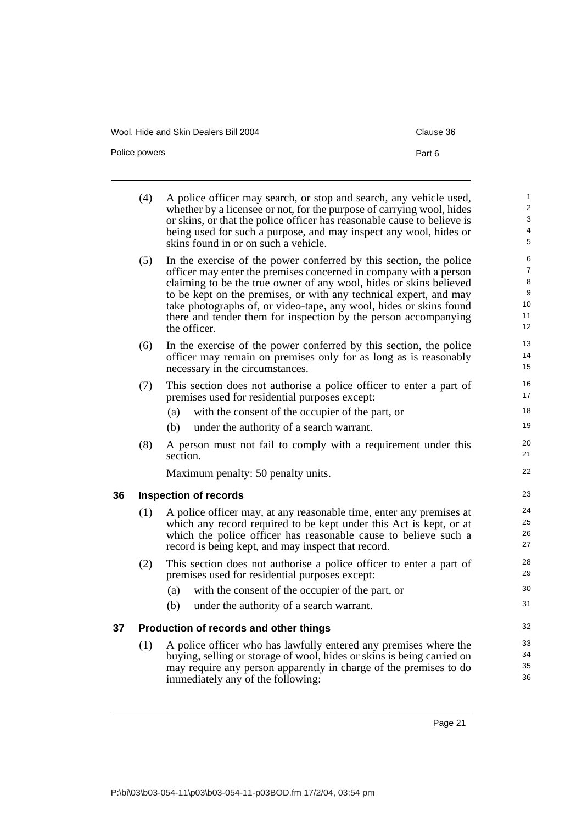| Wool, Hide and Skin Dealers Bill 2004 | Clause 36 |
|---------------------------------------|-----------|
| Police powers                         | Part 6    |

|    | (4) | A police officer may search, or stop and search, any vehicle used,<br>whether by a licensee or not, for the purpose of carrying wool, hides<br>or skins, or that the police officer has reasonable cause to believe is<br>being used for such a purpose, and may inspect any wool, hides or | $\mathbf{1}$<br>$\overline{2}$<br>3<br>$\overline{4}$ |
|----|-----|---------------------------------------------------------------------------------------------------------------------------------------------------------------------------------------------------------------------------------------------------------------------------------------------|-------------------------------------------------------|
|    |     | skins found in or on such a vehicle.                                                                                                                                                                                                                                                        | 5                                                     |
|    | (5) | In the exercise of the power conferred by this section, the police                                                                                                                                                                                                                          | 6                                                     |
|    |     | officer may enter the premises concerned in company with a person<br>claiming to be the true owner of any wool, hides or skins believed                                                                                                                                                     | $\overline{7}$<br>8                                   |
|    |     | to be kept on the premises, or with any technical expert, and may                                                                                                                                                                                                                           | 9                                                     |
|    |     | take photographs of, or video-tape, any wool, hides or skins found<br>there and tender them for inspection by the person accompanying                                                                                                                                                       | 10<br>11                                              |
|    |     | the officer.                                                                                                                                                                                                                                                                                | 12                                                    |
|    | (6) | In the exercise of the power conferred by this section, the police                                                                                                                                                                                                                          | 13                                                    |
|    |     | officer may remain on premises only for as long as is reasonably<br>necessary in the circumstances.                                                                                                                                                                                         | 14<br>15                                              |
|    | (7) | This section does not authorise a police officer to enter a part of<br>premises used for residential purposes except:                                                                                                                                                                       | 16<br>17                                              |
|    |     | with the consent of the occupier of the part, or<br>(a)                                                                                                                                                                                                                                     | 18                                                    |
|    |     | (b)<br>under the authority of a search warrant.                                                                                                                                                                                                                                             | 19                                                    |
|    | (8) | A person must not fail to comply with a requirement under this<br>section.                                                                                                                                                                                                                  | 20<br>21                                              |
|    |     | Maximum penalty: 50 penalty units.                                                                                                                                                                                                                                                          | 22                                                    |
| 36 |     | <b>Inspection of records</b>                                                                                                                                                                                                                                                                | 23                                                    |
|    | (1) | A police officer may, at any reasonable time, enter any premises at                                                                                                                                                                                                                         | 24                                                    |
|    |     | which any record required to be kept under this Act is kept, or at<br>which the police officer has reasonable cause to believe such a                                                                                                                                                       | 25<br>26                                              |
|    |     | record is being kept, and may inspect that record.                                                                                                                                                                                                                                          | 27                                                    |
|    | (2) | This section does not authorise a police officer to enter a part of<br>premises used for residential purposes except:                                                                                                                                                                       | 28<br>29                                              |
|    |     | with the consent of the occupier of the part, or<br>(a)                                                                                                                                                                                                                                     | 30                                                    |
|    |     | under the authority of a search warrant.<br>(b)                                                                                                                                                                                                                                             | 31                                                    |
| 37 |     | Production of records and other things                                                                                                                                                                                                                                                      | 32                                                    |
|    | (1) | A police officer who has lawfully entered any premises where the                                                                                                                                                                                                                            | 33                                                    |
|    |     | buying, selling or storage of wool, hides or skins is being carried on                                                                                                                                                                                                                      | 34                                                    |
|    |     | may require any person apparently in charge of the premises to do<br>immediately any of the following:                                                                                                                                                                                      | 35<br>36                                              |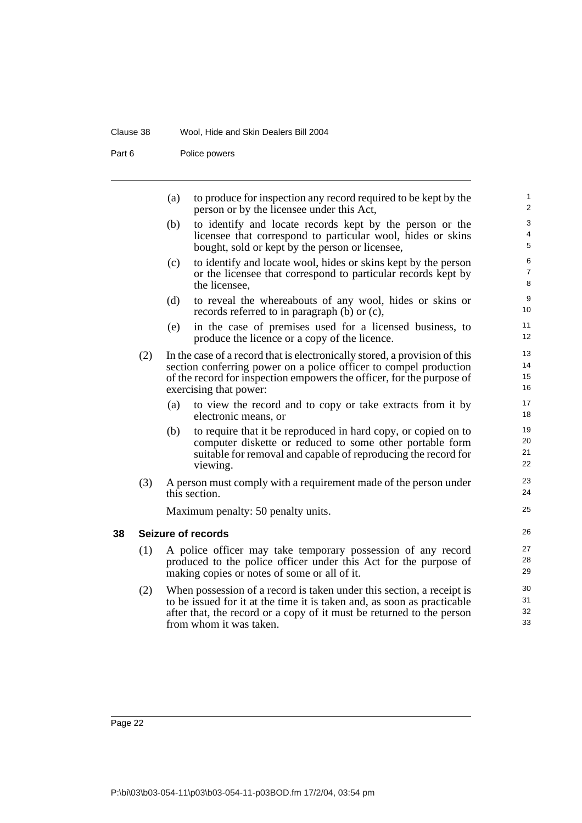#### Clause 38 Wool, Hide and Skin Dealers Bill 2004

Part 6 Police powers

|     | (a) | to produce for inspection any record required to be kept by the<br>person or by the licensee under this Act,                                                                                                                                         | $\mathbf{1}$<br>2                 |
|-----|-----|------------------------------------------------------------------------------------------------------------------------------------------------------------------------------------------------------------------------------------------------------|-----------------------------------|
|     | (b) | to identify and locate records kept by the person or the<br>licensee that correspond to particular wool, hides or skins<br>bought, sold or kept by the person or licensee,                                                                           | 3<br>$\overline{\mathbf{4}}$<br>5 |
|     | (c) | to identify and locate wool, hides or skins kept by the person<br>or the licensee that correspond to particular records kept by<br>the licensee.                                                                                                     | 6<br>$\overline{7}$<br>8          |
|     | (d) | to reveal the whereabouts of any wool, hides or skins or<br>records referred to in paragraph (b) or (c),                                                                                                                                             | $\boldsymbol{9}$<br>10            |
|     | (e) | in the case of premises used for a licensed business, to<br>produce the licence or a copy of the licence.                                                                                                                                            | 11<br>12                          |
| (2) |     | In the case of a record that is electronically stored, a provision of this<br>section conferring power on a police officer to compel production<br>of the record for inspection empowers the officer, for the purpose of<br>exercising that power:   | 13<br>14<br>15<br>16              |
|     | (a) | to view the record and to copy or take extracts from it by<br>electronic means, or                                                                                                                                                                   | 17<br>18                          |
|     | (b) | to require that it be reproduced in hard copy, or copied on to<br>computer diskette or reduced to some other portable form<br>suitable for removal and capable of reproducing the record for<br>viewing.                                             | 19<br>20<br>21<br>22              |
| (3) |     | A person must comply with a requirement made of the person under<br>this section.                                                                                                                                                                    | 23<br>24                          |
|     |     | Maximum penalty: 50 penalty units.                                                                                                                                                                                                                   | 25                                |
|     |     | Seizure of records                                                                                                                                                                                                                                   | 26                                |
| (1) |     | A police officer may take temporary possession of any record<br>produced to the police officer under this Act for the purpose of<br>making copies or notes of some or all of it.                                                                     | 27<br>28<br>29                    |
| (2) |     | When possession of a record is taken under this section, a receipt is<br>to be issued for it at the time it is taken and, as soon as practicable<br>after that, the record or a copy of it must be returned to the person<br>from whom it was taken. | 30<br>31<br>32<br>33              |

**38 Seizure of records**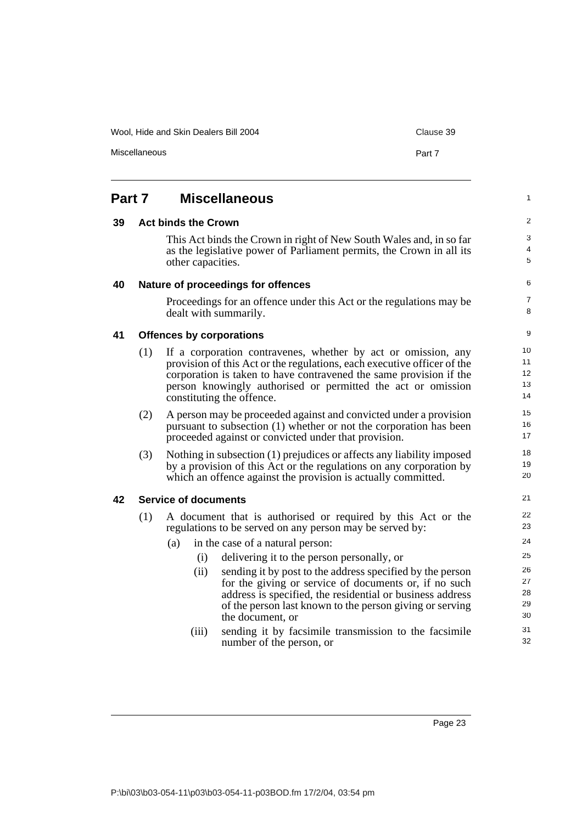|  |  | Wool, Hide and Skin Dealers Bill 2004 |
|--|--|---------------------------------------|

Miscellaneous

|    | <b>Miscellaneous</b><br>Part 7 |                                                                                                                                                                                                                                                                                                             | $\mathbf{1}$               |
|----|--------------------------------|-------------------------------------------------------------------------------------------------------------------------------------------------------------------------------------------------------------------------------------------------------------------------------------------------------------|----------------------------|
| 39 |                                | <b>Act binds the Crown</b>                                                                                                                                                                                                                                                                                  | $\overline{c}$             |
|    |                                | This Act binds the Crown in right of New South Wales and, in so far<br>as the legislative power of Parliament permits, the Crown in all its<br>other capacities.                                                                                                                                            | 3<br>4<br>5                |
| 40 |                                | Nature of proceedings for offences                                                                                                                                                                                                                                                                          | 6                          |
|    |                                | Proceedings for an offence under this Act or the regulations may be<br>dealt with summarily.                                                                                                                                                                                                                | 7<br>8                     |
| 41 |                                | <b>Offences by corporations</b>                                                                                                                                                                                                                                                                             | 9                          |
|    | (1)                            | If a corporation contravenes, whether by act or omission, any<br>provision of this Act or the regulations, each executive officer of the<br>corporation is taken to have contravened the same provision if the<br>person knowingly authorised or permitted the act or omission<br>constituting the offence. | 10<br>11<br>12<br>13<br>14 |
|    | (2)                            | A person may be proceeded against and convicted under a provision<br>pursuant to subsection (1) whether or not the corporation has been<br>proceeded against or convicted under that provision.                                                                                                             | 15<br>16<br>17             |
|    | (3)                            | Nothing in subsection (1) prejudices or affects any liability imposed<br>by a provision of this Act or the regulations on any corporation by<br>which an offence against the provision is actually committed.                                                                                               | 18<br>19<br>20             |
| 42 |                                | <b>Service of documents</b>                                                                                                                                                                                                                                                                                 | 21                         |
|    | (1)                            | A document that is authorised or required by this Act or the<br>regulations to be served on any person may be served by:<br>in the case of a natural person:<br>(a)                                                                                                                                         | 22<br>23<br>24             |
|    |                                | (i)<br>delivering it to the person personally, or                                                                                                                                                                                                                                                           | 25                         |
|    |                                | sending it by post to the address specified by the person<br>(ii)<br>for the giving or service of documents or, if no such<br>address is specified, the residential or business address<br>of the person last known to the person giving or serving<br>the document, or                                     | 26<br>27<br>28<br>29<br>30 |
|    |                                | sending it by facsimile transmission to the facsimile<br>(iii)<br>number of the person, or                                                                                                                                                                                                                  | 31<br>32                   |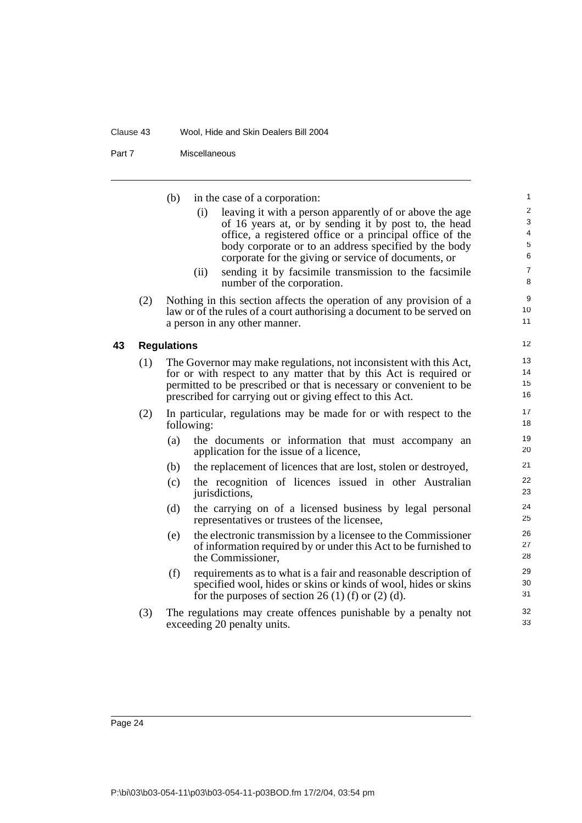#### Clause 43 Wool, Hide and Skin Dealers Bill 2004

Part 7 Miscellaneous

|    |     | (b)                | in the case of a corporation:                                                                                                                                                                                                                                               | $\mathbf{1}$                  |
|----|-----|--------------------|-----------------------------------------------------------------------------------------------------------------------------------------------------------------------------------------------------------------------------------------------------------------------------|-------------------------------|
|    |     |                    | leaving it with a person apparently of or above the age<br>(i)                                                                                                                                                                                                              | $\overline{\mathbf{c}}$       |
|    |     |                    | of 16 years at, or by sending it by post to, the head                                                                                                                                                                                                                       | 3<br>$\overline{\mathcal{L}}$ |
|    |     |                    | office, a registered office or a principal office of the<br>body corporate or to an address specified by the body                                                                                                                                                           | 5                             |
|    |     |                    | corporate for the giving or service of documents, or                                                                                                                                                                                                                        | $\overline{6}$                |
|    |     |                    | (ii)<br>sending it by facsimile transmission to the facsimile<br>number of the corporation.                                                                                                                                                                                 | $\overline{7}$<br>8           |
|    | (2) |                    | Nothing in this section affects the operation of any provision of a<br>law or of the rules of a court authorising a document to be served on<br>a person in any other manner.                                                                                               | 9<br>10<br>11                 |
| 43 |     | <b>Regulations</b> |                                                                                                                                                                                                                                                                             | 12                            |
|    | (1) |                    | The Governor may make regulations, not inconsistent with this Act,<br>for or with respect to any matter that by this Act is required or<br>permitted to be prescribed or that is necessary or convenient to be<br>prescribed for carrying out or giving effect to this Act. | 13<br>14<br>15<br>16          |
|    | (2) |                    | In particular, regulations may be made for or with respect to the<br>following:                                                                                                                                                                                             | 17<br>18                      |
|    |     | (a)                | the documents or information that must accompany an<br>application for the issue of a licence,                                                                                                                                                                              | 19<br>20                      |
|    |     | (b)                | the replacement of licences that are lost, stolen or destroyed,                                                                                                                                                                                                             | 21                            |
|    |     | (c)                | the recognition of licences issued in other Australian<br>jurisdictions,                                                                                                                                                                                                    | 22<br>23                      |
|    |     | (d)                | the carrying on of a licensed business by legal personal<br>representatives or trustees of the licensee,                                                                                                                                                                    | 24<br>25                      |
|    |     | (e)                | the electronic transmission by a licensee to the Commissioner<br>of information required by or under this Act to be furnished to<br>the Commissioner,                                                                                                                       | 26<br>27<br>28                |
|    |     | (f)                | requirements as to what is a fair and reasonable description of<br>specified wool, hides or skins or kinds of wool, hides or skins<br>for the purposes of section 26 (1) (f) or (2) (d).                                                                                    | 29<br>30<br>31                |
|    | (3) |                    | The regulations may create offences punishable by a penalty not<br>exceeding 20 penalty units.                                                                                                                                                                              | 32<br>33                      |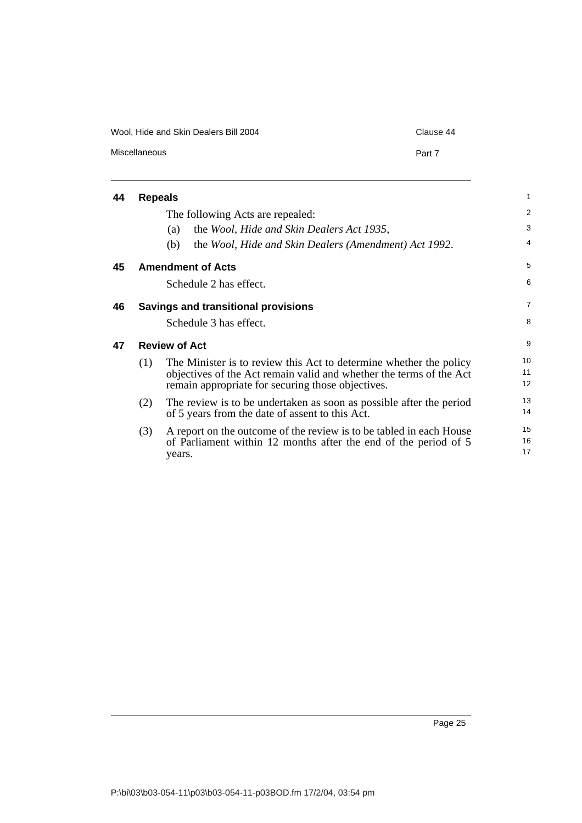Wool, Hide and Skin Dealers Bill 2004 Clause 44

Miscellaneous **Part 7** 

| 44 | <b>Repeals</b> |                      |                                                                     | $\mathbf{1}$   |
|----|----------------|----------------------|---------------------------------------------------------------------|----------------|
|    |                |                      | The following Acts are repealed:                                    | 2              |
|    |                | (a)                  | the Wool, Hide and Skin Dealers Act 1935,                           | 3              |
|    |                | (b)                  | the Wool, Hide and Skin Dealers (Amendment) Act 1992.               | $\overline{4}$ |
| 45 |                |                      | <b>Amendment of Acts</b>                                            | 5              |
|    |                |                      | Schedule 2 has effect.                                              | 6              |
| 46 |                |                      | <b>Savings and transitional provisions</b>                          | $\overline{7}$ |
|    |                |                      | Schedule 3 has effect.                                              | 8              |
| 47 |                | <b>Review of Act</b> |                                                                     | 9              |
|    | (1)            |                      | The Minister is to review this Act to determine whether the policy  | 10             |
|    |                |                      | objectives of the Act remain valid and whether the terms of the Act | 11             |
|    |                |                      | remain appropriate for securing those objectives.                   | 12             |
|    | (2)            |                      | The review is to be undertaken as soon as possible after the period | 13             |
|    |                |                      | of 5 years from the date of assent to this Act.                     | 14             |
|    | (3)            |                      | A report on the outcome of the review is to be tabled in each House | 15             |
|    |                |                      | of Parliament within 12 months after the end of the period of 5     | 16             |
|    |                | years.               |                                                                     | 17             |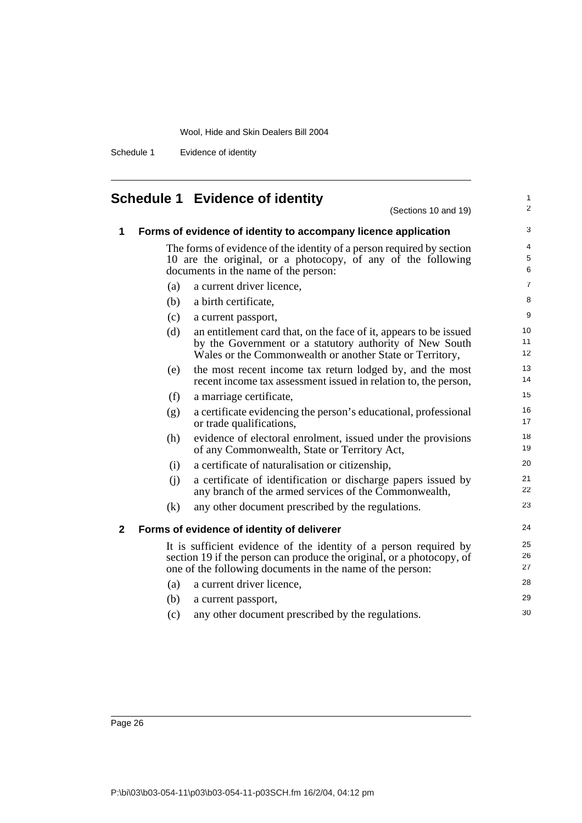Schedule 1 Evidence of identity

## **Schedule 1 Evidence of identity**

|                |     | <b>chedule 1 Evidence of identity</b>                                                                                              | $\mathbf{1}$   |
|----------------|-----|------------------------------------------------------------------------------------------------------------------------------------|----------------|
|                |     | (Sections 10 and 19)                                                                                                               | $\overline{2}$ |
| 1              |     | Forms of evidence of identity to accompany licence application                                                                     | 3              |
|                |     | The forms of evidence of the identity of a person required by section                                                              | 4              |
|                |     | 10 are the original, or a photocopy, of any of the following<br>documents in the name of the person:                               | 5<br>6         |
|                | (a) | a current driver licence,                                                                                                          | $\overline{7}$ |
|                | (b) | a birth certificate,                                                                                                               | 8              |
|                | (c) | a current passport,                                                                                                                | 9              |
|                | (d) | an entitlement card that, on the face of it, appears to be issued                                                                  | 10             |
|                |     | by the Government or a statutory authority of New South<br>Wales or the Commonwealth or another State or Territory,                | 11<br>12       |
|                | (e) | the most recent income tax return lodged by, and the most                                                                          | 13             |
|                |     | recent income tax assessment issued in relation to, the person,                                                                    | 14             |
|                | (f) | a marriage certificate,                                                                                                            | 15             |
|                | (g) | a certificate evidencing the person's educational, professional<br>or trade qualifications,                                        | 16<br>17       |
|                | (h) | evidence of electoral enrolment, issued under the provisions<br>of any Commonwealth, State or Territory Act,                       | 18<br>19       |
|                | (i) | a certificate of naturalisation or citizenship,                                                                                    | 20             |
|                | (i) | a certificate of identification or discharge papers issued by<br>any branch of the armed services of the Commonwealth,             | 21<br>22       |
|                | (k) | any other document prescribed by the regulations.                                                                                  | 23             |
| $\overline{2}$ |     | Forms of evidence of identity of deliverer                                                                                         | 24             |
|                |     | It is sufficient evidence of the identity of a person required by                                                                  | 25             |
|                |     | section 19 if the person can produce the original, or a photocopy, of<br>one of the following documents in the name of the person: | 26<br>27       |
|                | (a) | a current driver licence,                                                                                                          | 28             |
|                | (b) | a current passport,                                                                                                                | 29             |
|                | (c) | any other document prescribed by the regulations.                                                                                  | 30             |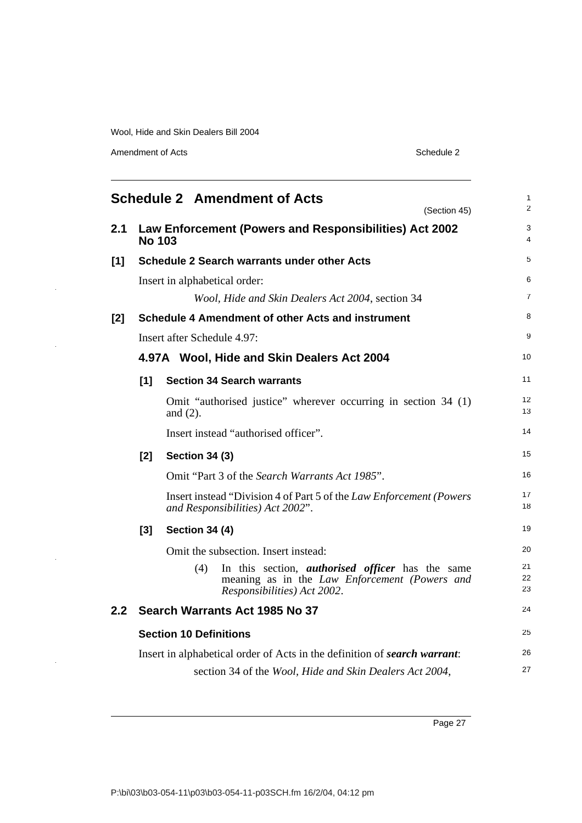Amendment of Acts Schedule 2

 $\hat{\mathcal{F}}$ 

l,

 $\ddot{\phantom{1}}$ 

 $\ddot{\phantom{1}}$ 

|       |               | <b>Schedule 2 Amendment of Acts</b><br>(Section 45)                                                                                            | $\mathbf{1}$<br>2       |
|-------|---------------|------------------------------------------------------------------------------------------------------------------------------------------------|-------------------------|
| 2.1   | <b>No 103</b> | Law Enforcement (Powers and Responsibilities) Act 2002                                                                                         | 3<br>4                  |
| $[1]$ |               | <b>Schedule 2 Search warrants under other Acts</b>                                                                                             | 5                       |
|       |               | Insert in alphabetical order:                                                                                                                  | 6                       |
|       |               | Wool, Hide and Skin Dealers Act 2004, section 34                                                                                               | $\overline{7}$          |
| [2]   |               | Schedule 4 Amendment of other Acts and instrument                                                                                              | 8                       |
|       |               | Insert after Schedule 4.97:                                                                                                                    | 9                       |
|       |               | 4.97A Wool, Hide and Skin Dealers Act 2004                                                                                                     | 10 <sup>1</sup>         |
|       | [1]           | <b>Section 34 Search warrants</b>                                                                                                              | 11                      |
|       |               | Omit "authorised justice" wherever occurring in section 34 (1)<br>and $(2)$ .                                                                  | $12 \overline{ }$<br>13 |
|       |               | Insert instead "authorised officer".                                                                                                           | 14                      |
|       | [2]           | <b>Section 34 (3)</b>                                                                                                                          | 15                      |
|       |               | Omit "Part 3 of the Search Warrants Act 1985".                                                                                                 | 16                      |
|       |               | Insert instead "Division 4 of Part 5 of the <i>Law Enforcement (Powers</i> )<br>and Responsibilities) Act 2002".                               | 17<br>18                |
|       | [3]           | <b>Section 34 (4)</b>                                                                                                                          | 19                      |
|       |               | Omit the subsection. Insert instead:                                                                                                           | 20                      |
|       |               | In this section, <i>authorised officer</i> has the same<br>(4)<br>meaning as in the Law Enforcement (Powers and<br>Responsibilities) Act 2002. | 21<br>22<br>23          |
| 2.2   |               | Search Warrants Act 1985 No 37                                                                                                                 | 24                      |
|       |               | <b>Section 10 Definitions</b>                                                                                                                  | 25                      |
|       |               | Insert in alphabetical order of Acts in the definition of <b>search warrant</b> :                                                              | 26                      |
|       |               | section 34 of the Wool, Hide and Skin Dealers Act 2004,                                                                                        | 27                      |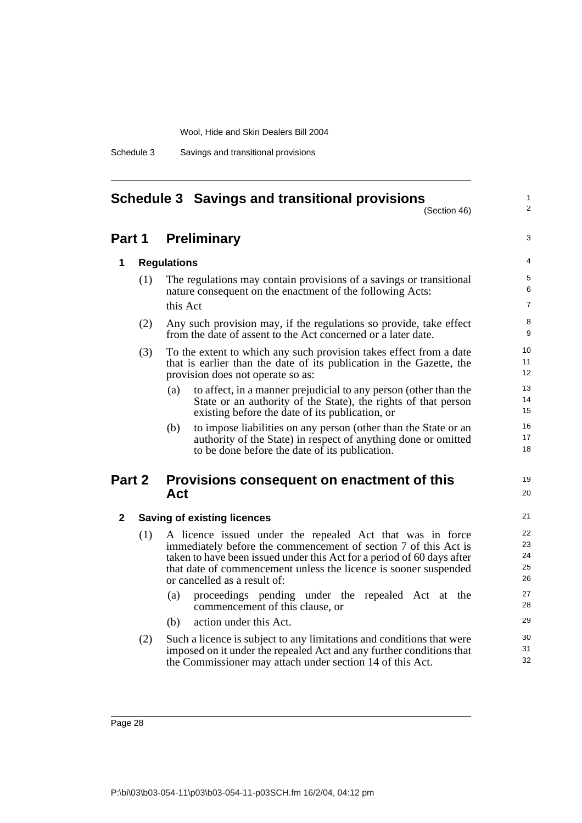| Schedule 3 | Savings and transitional provisions |  |
|------------|-------------------------------------|--|

## **Schedule 3 Savings and transitional provisions**

(Section 46)

1 2

|              |        | <b>Part 1 Preliminary</b>                                                                                                                                                                                                                                                                                  | 3                          |
|--------------|--------|------------------------------------------------------------------------------------------------------------------------------------------------------------------------------------------------------------------------------------------------------------------------------------------------------------|----------------------------|
| 1            |        | <b>Regulations</b>                                                                                                                                                                                                                                                                                         | 4                          |
|              | (1)    | The regulations may contain provisions of a savings or transitional<br>nature consequent on the enactment of the following Acts:                                                                                                                                                                           | 5<br>6                     |
|              |        | this Act                                                                                                                                                                                                                                                                                                   | $\overline{7}$             |
|              | (2)    | Any such provision may, if the regulations so provide, take effect<br>from the date of assent to the Act concerned or a later date.                                                                                                                                                                        | 8<br>9                     |
|              | (3)    | To the extent to which any such provision takes effect from a date<br>that is earlier than the date of its publication in the Gazette, the<br>provision does not operate so as:                                                                                                                            | 10<br>11<br>12             |
|              |        | to affect, in a manner prejudicial to any person (other than the<br>(a)<br>State or an authority of the State), the rights of that person<br>existing before the date of its publication, or                                                                                                               | 13<br>14<br>15             |
|              |        | to impose liabilities on any person (other than the State or an<br>(b)<br>authority of the State) in respect of anything done or omitted<br>to be done before the date of its publication.                                                                                                                 | 16<br>17<br>18             |
|              | Part 2 | Provisions consequent on enactment of this<br>Act                                                                                                                                                                                                                                                          | 19<br>20                   |
| $\mathbf{2}$ |        | <b>Saving of existing licences</b>                                                                                                                                                                                                                                                                         |                            |
|              | (1)    | A licence issued under the repealed Act that was in force<br>immediately before the commencement of section 7 of this Act is<br>taken to have been issued under this Act for a period of 60 days after<br>that date of commencement unless the licence is sooner suspended<br>or cancelled as a result of: | 22<br>23<br>24<br>25<br>26 |
|              |        | proceedings pending under the repealed Act at the<br>(a)<br>commencement of this clause, or                                                                                                                                                                                                                | 27<br>28                   |
|              |        | action under this Act.<br>(b)                                                                                                                                                                                                                                                                              | 29                         |
|              | (2)    | Such a licence is subject to any limitations and conditions that were<br>imposed on it under the repealed Act and any further conditions that<br>the Commissioner may attach under section 14 of this Act.                                                                                                 | 30<br>31<br>32             |